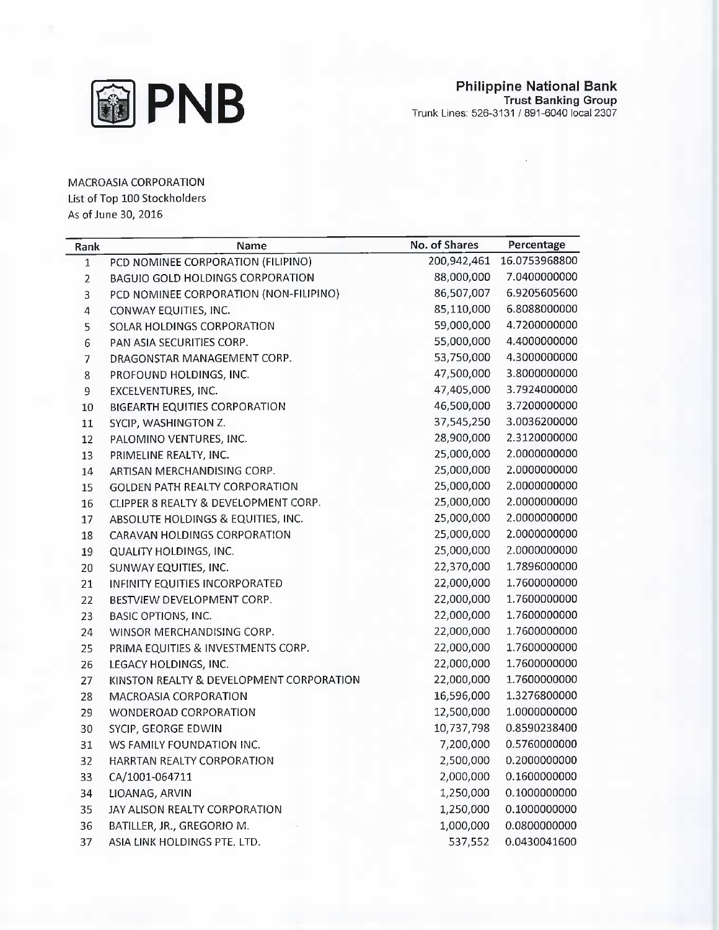

MACROASIA CORPORATION List of Top 100 Stockholders As of June 30, 2016

| Rank         | Name                                     | No. of Shares | Percentage    |
|--------------|------------------------------------------|---------------|---------------|
| $\mathbf{1}$ | PCD NOMINEE CORPORATION (FILIPINO)       | 200,942,461   | 16.0753968800 |
| $\mathbf 2$  | <b>BAGUIO GOLD HOLDINGS CORPORATION</b>  | 88,000,000    | 7.0400000000  |
| 3            | PCD NOMINEE CORPORATION (NON-FILIPINO)   | 86,507,007    | 6.9205605600  |
| 4            | CONWAY EQUITIES, INC.                    | 85,110,000    | 6.8088000000  |
| 5            | SOLAR HOLDINGS CORPORATION               | 59,000,000    | 4.7200000000  |
| 6            | PAN ASIA SECURITIES CORP.                | 55,000,000    | 4.4000000000  |
| 7            | DRAGONSTAR MANAGEMENT CORP.              | 53,750,000    | 4.3000000000  |
| 8            | PROFOUND HOLDINGS, INC.                  | 47,500,000    | 3.8000000000  |
| 9            | EXCELVENTURES, INC.                      | 47,405,000    | 3.7924000000  |
| 10           | BIGEARTH EQUITIES CORPORATION            | 46,500,000    | 3.7200000000  |
| $11\,$       | SYCIP, WASHINGTON Z.                     | 37,545,250    | 3.0036200000  |
| 12           | PALOMINO VENTURES, INC.                  | 28,900,000    | 2.3120000000  |
| 13           | PRIMELINE REALTY, INC.                   | 25,000,000    | 2.0000000000  |
| 14           | ARTISAN MERCHANDISING CORP.              | 25,000,000    | 2.0000000000  |
| 15           | <b>GOLDEN PATH REALTY CORPORATION</b>    | 25,000,000    | 2.0000000000  |
| 16           | CLIPPER 8 REALTY & DEVELOPMENT CORP.     | 25,000,000    | 2.0000000000  |
| 17           | ABSOLUTE HOLDINGS & EQUITIES, INC.       | 25,000,000    | 2.0000000000  |
| 18           | CARAVAN HOLDINGS CORPORATION             | 25,000,000    | 2.0000000000  |
| 19           | QUALITY HOLDINGS, INC.                   | 25,000,000    | 2.0000000000  |
| 20           | SUNWAY EQUITIES, INC.                    | 22,370,000    | 1.7896000000  |
| 21           | INFINITY EQUITIES INCORPORATED           | 22,000,000    | 1.7600000000  |
| 22           | BESTVIEW DEVELOPMENT CORP.               | 22,000,000    | 1.7600000000  |
| 23           | <b>BASIC OPTIONS, INC.</b>               | 22,000,000    | 1.7600000000  |
| 24           | WINSOR MERCHANDISING CORP.               | 22,000,000    | 1.7600000000  |
| 25           | PRIMA EQUITIES & INVESTMENTS CORP.       | 22,000,000    | 1.7600000000  |
| 26           | LEGACY HOLDINGS, INC.                    | 22,000,000    | 1.7600000000  |
| 27           | KINSTON REALTY & DEVELOPMENT CORPORATION | 22,000,000    | 1.7600000000  |
| 28           | MACROASIA CORPORATION                    | 16,596,000    | 1.3276800000  |
| 29           | WONDEROAD CORPORATION                    | 12,500,000    | 1.0000000000  |
| 30           | SYCIP, GEORGE EDWIN                      | 10,737,798    | 0.8590238400  |
| 31           | WS FAMILY FOUNDATION INC.                | 7,200,000     | 0.5760000000  |
| 32           | HARRTAN REALTY CORPORATION               | 2,500,000     | 0.2000000000  |
| 33           | CA/1001-064711                           | 2,000,000     | 0.1600000000  |
| 34           | LIOANAG, ARVIN                           | 1,250,000     | 0.1000000000  |
| 35           | JAY ALISON REALTY CORPORATION            | 1,250,000     | 0.1000000000  |
| 36           | BATILLER, JR., GREGORIO M.               | 1,000,000     | 0.0800000000  |
| 37           | ASIA LINK HOLDINGS PTE. LTD.             | 537,552       | 0.0430041600  |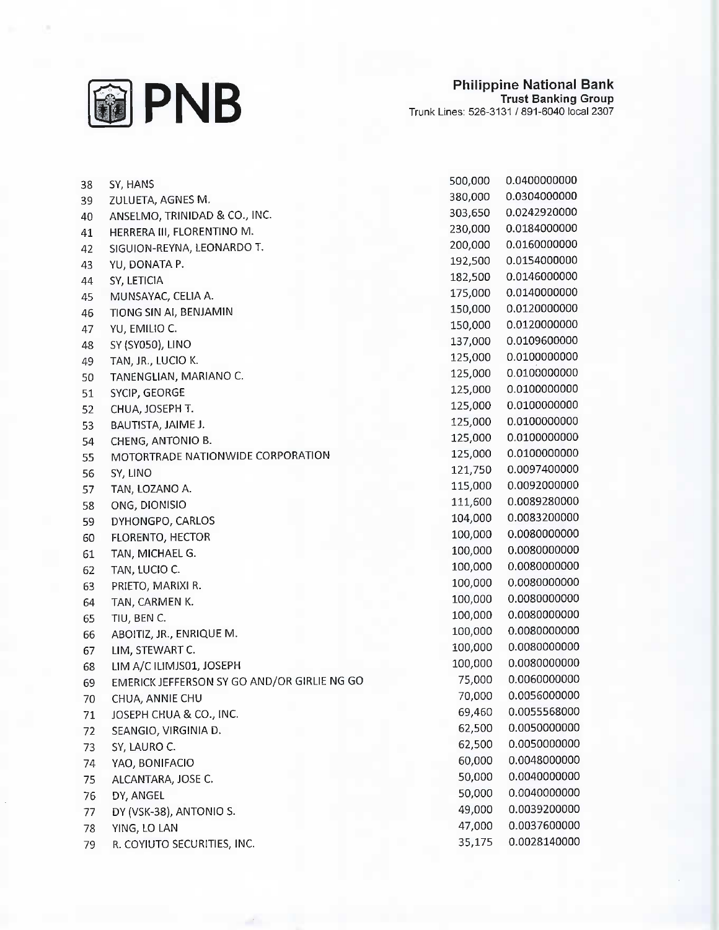

| 38 | SY, HANS                                    | 500,000 | 0.0400000000 |
|----|---------------------------------------------|---------|--------------|
| 39 | ZULUETA, AGNES M.                           | 380,000 | 0.0304000000 |
| 40 | ANSELMO, TRINIDAD & CO., INC.               | 303,650 | 0.0242920000 |
| 41 | HERRERA III, FLORENTINO M.                  | 230,000 | 0.0184000000 |
| 42 | SIGUION-REYNA, LEONARDO T.                  | 200,000 | 0.0160000000 |
| 43 | YU, DONATA P.                               | 192,500 | 0.0154000000 |
| 44 | SY, LETICIA                                 | 182,500 | 0.0146000000 |
| 45 | MUNSAYAC, CELIA A.                          | 175,000 | 0.0140000000 |
| 46 | TIONG SIN AI, BENJAMIN                      | 150,000 | 0.0120000000 |
| 47 | YU, EMILIO C.                               | 150,000 | 0.0120000000 |
| 48 | SY (SY050), LINO                            | 137,000 | 0.0109600000 |
| 49 | TAN, JR., LUCIO K.                          | 125,000 | 0.0100000000 |
| 50 | TANENGLIAN, MARIANO C.                      | 125,000 | 0.0100000000 |
| 51 | SYCIP, GEORGE                               | 125,000 | 0.0100000000 |
| 52 | CHUA, JOSEPH T.                             | 125,000 | 0.0100000000 |
| 53 | BAUTISTA, JAIME J.                          | 125,000 | 0.0100000000 |
| 54 | CHENG, ANTONIO B.                           | 125,000 | 0.0100000000 |
| 55 | MOTORTRADE NATIONWIDE CORPORATION           | 125,000 | 0.0100000000 |
| 56 | SY, LINO                                    | 121,750 | 0.0097400000 |
| 57 | TAN, LOZANO A.                              | 115,000 | 0.0092000000 |
| 58 | ONG, DIONISIO                               | 111,600 | 0.0089280000 |
| 59 | DYHONGPO, CARLOS                            | 104,000 | 0.0083200000 |
| 60 | FLORENTO, HECTOR                            | 100,000 | 0.0080000000 |
| 61 | TAN, MICHAEL G.                             | 100,000 | 0.0080000000 |
| 62 | TAN, LUCIO C.                               | 100,000 | 0.0080000000 |
| 63 | PRIETO, MARIXI R.                           | 100,000 | 0.0080000000 |
| 64 | TAN, CARMEN K.                              | 100,000 | 0.0080000000 |
| 65 | TIU, BEN C.                                 | 100,000 | 0.0080000000 |
| 66 | ABOITIZ, JR., ENRIQUE M.                    | 100,000 | 0.0080000000 |
| 67 | LIM, STEWART C.                             | 100,000 | 0.0080000000 |
| 68 | LIM A/C ILIMJS01, JOSEPH                    | 100,000 | 0.0080000000 |
| 69 | EMERICK JEFFERSON SY GO AND/OR GIRLIE NG GO | 75,000  | 0.0060000000 |
| 70 | CHUA, ANNIE CHU                             | 70,000  | 0.0056000000 |
| 71 | JOSEPH CHUA & CO., INC.                     | 69,460  | 0.0055568000 |
| 72 | SEANGIO, VIRGINIA D.                        | 62,500  | 0.0050000000 |
| 73 | SY, LAURO C.                                | 62,500  | 0.0050000000 |
| 74 | YAO, BONIFACIO                              | 60,000  | 0.0048000000 |
| 75 | ALCANTARA, JOSE C.                          | 50,000  | 0.0040000000 |
| 76 | DY, ANGEL                                   | 50,000  | 0.0040000000 |
| 77 | DY (VSK-38), ANTONIO S.                     | 49,000  | 0.0039200000 |
| 78 | YING, LO LAN                                | 47,000  | 0.0037600000 |
| 79 | R. COYIUTO SECURITIES, INC.                 | 35,175  | 0.0028140000 |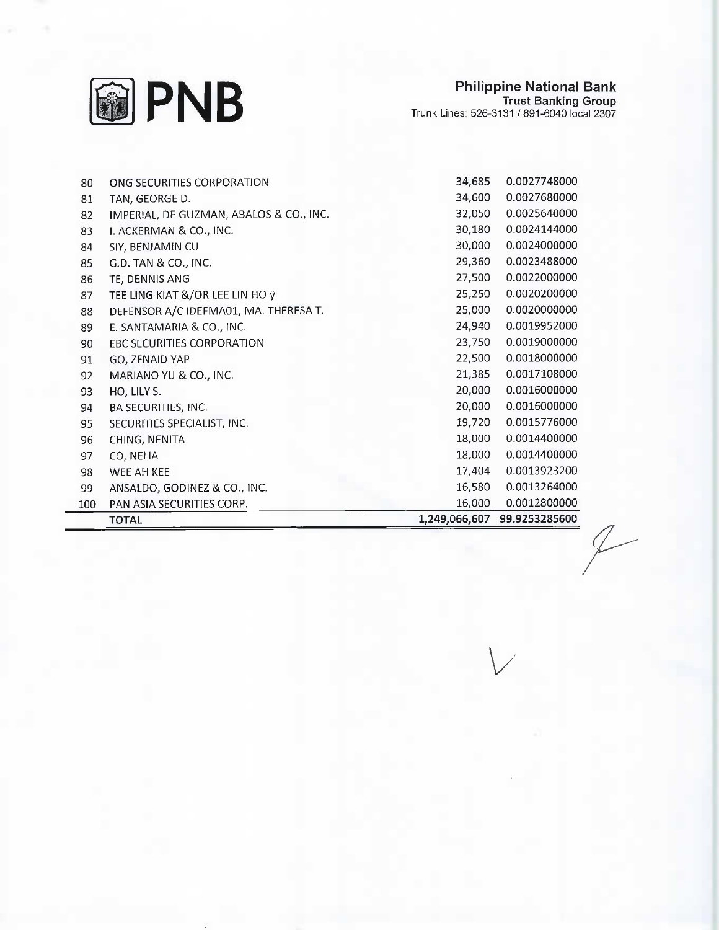

| 80  | ONG SECURITIES CORPORATION              | 34,685        | 0.0027748000  |
|-----|-----------------------------------------|---------------|---------------|
| 81  | TAN, GEORGE D.                          | 34,600        | 0.0027680000  |
| 82  | IMPERIAL, DE GUZMAN, ABALOS & CO., INC. | 32,050        | 0.0025640000  |
| 83  | I. ACKERMAN & CO., INC.                 | 30,180        | 0.0024144000  |
| 84  | SIY, BENJAMIN CU                        | 30,000        | 0.0024000000  |
| 85  | G.D. TAN & CO., INC.                    | 29,360        | 0.0023488000  |
| 86  | TE, DENNIS ANG                          | 27,500        | 0.0022000000  |
| 87  | TEE LING KIAT &/OR LEE LIN HO ÿ         | 25,250        | 0.0020200000  |
| 88  | DEFENSOR A/C IDEFMA01, MA. THERESA T.   | 25,000        | 0.0020000000  |
| 89  | E. SANTAMARIA & CO., INC.               | 24,940        | 0.0019952000  |
| 90  | EBC SECURITIES CORPORATION              | 23,750        | 0.0019000000  |
| 91  | GO, ZENAID YAP                          | 22,500        | 0.0018000000  |
| 92  | MARIANO YU & CO., INC.                  | 21,385        | 0.0017108000  |
| 93  | HO, LILY S.                             | 20,000        | 0.0016000000  |
| 94  | BA SECURITIES, INC.                     | 20,000        | 0.0016000000  |
| 95  | SECURITIES SPECIALIST, INC.             | 19,720        | 0.0015776000  |
| 96  | CHING, NENITA                           | 18,000        | 0.0014400000  |
| 97  | CO, NELIA                               | 18,000        | 0.0014400000  |
| 98  | WEE AH KEE                              | 17,404        | 0.0013923200  |
| 99  | ANSALDO, GODINEZ & CO., INC.            | 16,580        | 0.0013264000  |
| 100 | PAN ASIA SECURITIES CORP.               | 16,000        | 0.0012800000  |
|     | <b>TOTAL</b>                            | 1,249,066,607 | 99.9253285600 |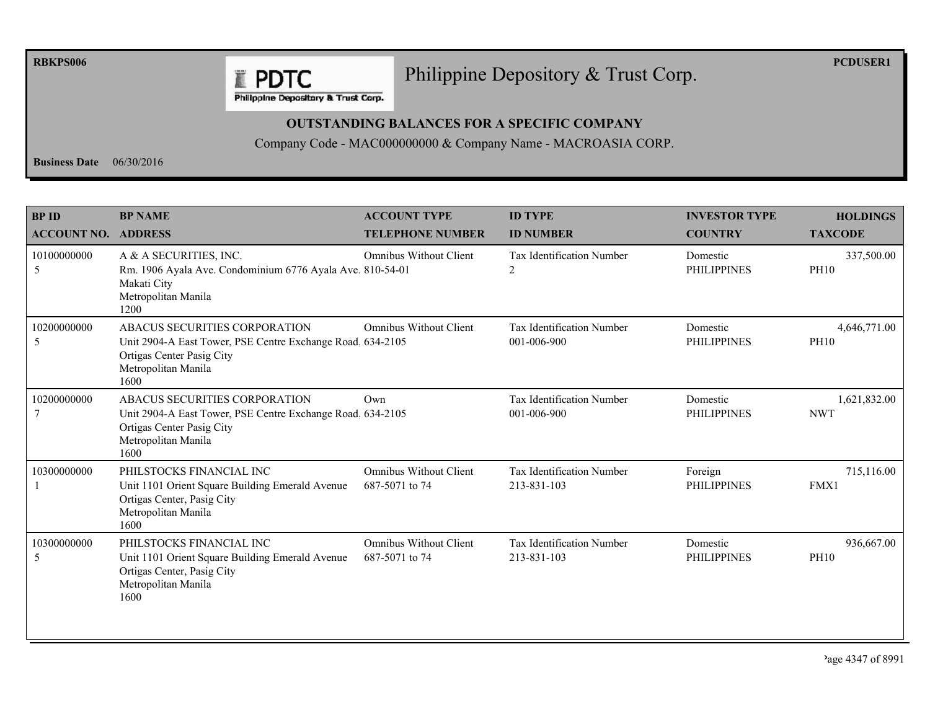**RBKPS006** 

## Philippine Depository & Trust Corp.

**PCDUSER1** 

Philippine Depository & Trust Corp.

**E PDTC** 

## **OUTSTANDING BALANCES FOR A SPECIFIC COMPANY**

Company Code - MAC000000000 & Company Name - MACROASIA CORP.

**Business Date**  $06/30/2016$ 

| <b>BPID</b>                | <b>BP NAME</b>                                                                                                                                          | <b>ACCOUNT TYPE</b>                             | <b>ID TYPE</b>                           | <b>INVESTOR TYPE</b>           | <b>HOLDINGS</b>             |
|----------------------------|---------------------------------------------------------------------------------------------------------------------------------------------------------|-------------------------------------------------|------------------------------------------|--------------------------------|-----------------------------|
| <b>ACCOUNT NO. ADDRESS</b> |                                                                                                                                                         | <b>TELEPHONE NUMBER</b>                         | <b>ID NUMBER</b>                         | <b>COUNTRY</b>                 | <b>TAXCODE</b>              |
| 10100000000<br>5           | A & A SECURITIES, INC.<br>Rm. 1906 Ayala Ave. Condominium 6776 Ayala Ave. 810-54-01<br>Makati City<br>Metropolitan Manila<br>1200                       | <b>Omnibus Without Client</b>                   | <b>Tax Identification Number</b><br>2    | Domestic<br><b>PHILIPPINES</b> | 337,500.00<br><b>PH10</b>   |
| 10200000000<br>5           | ABACUS SECURITIES CORPORATION<br>Unit 2904-A East Tower, PSE Centre Exchange Road. 634-2105<br>Ortigas Center Pasig City<br>Metropolitan Manila<br>1600 | <b>Omnibus Without Client</b>                   | Tax Identification Number<br>001-006-900 | Domestic<br><b>PHILIPPINES</b> | 4,646,771.00<br><b>PH10</b> |
| 10200000000                | ABACUS SECURITIES CORPORATION<br>Unit 2904-A East Tower, PSE Centre Exchange Road 634-2105<br>Ortigas Center Pasig City<br>Metropolitan Manila<br>1600  | Own                                             | Tax Identification Number<br>001-006-900 | Domestic<br><b>PHILIPPINES</b> | 1,621,832.00<br><b>NWT</b>  |
| 10300000000                | PHILSTOCKS FINANCIAL INC<br>Unit 1101 Orient Square Building Emerald Avenue<br>Ortigas Center, Pasig City<br>Metropolitan Manila<br>1600                | <b>Omnibus Without Client</b><br>687-5071 to 74 | Tax Identification Number<br>213-831-103 | Foreign<br><b>PHILIPPINES</b>  | 715,116.00<br>FMX1          |
| 10300000000<br>5           | PHILSTOCKS FINANCIAL INC<br>Unit 1101 Orient Square Building Emerald Avenue<br>Ortigas Center, Pasig City<br>Metropolitan Manila<br>1600                | Omnibus Without Client<br>687-5071 to 74        | Tax Identification Number<br>213-831-103 | Domestic<br><b>PHILIPPINES</b> | 936,667.00<br><b>PH10</b>   |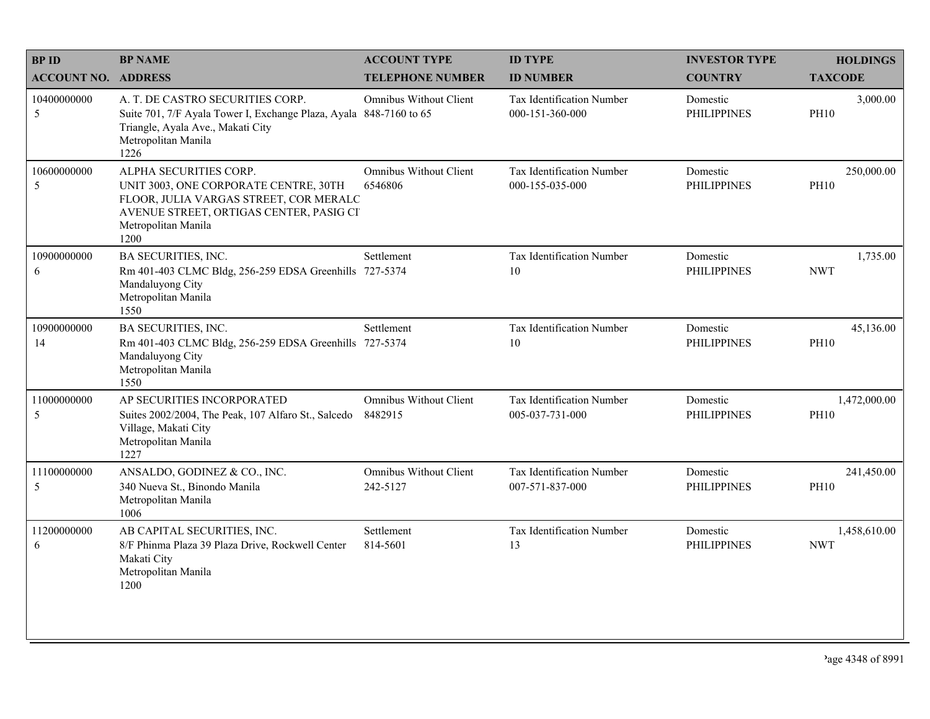| <b>BPID</b>                | <b>BP NAME</b>                                                                                                                                                                      | <b>ACCOUNT TYPE</b>                       | <b>ID TYPE</b>                               | <b>INVESTOR TYPE</b>           | <b>HOLDINGS</b>             |
|----------------------------|-------------------------------------------------------------------------------------------------------------------------------------------------------------------------------------|-------------------------------------------|----------------------------------------------|--------------------------------|-----------------------------|
| <b>ACCOUNT NO. ADDRESS</b> |                                                                                                                                                                                     | <b>TELEPHONE NUMBER</b>                   | <b>ID NUMBER</b>                             | <b>COUNTRY</b>                 | <b>TAXCODE</b>              |
| 10400000000<br>5           | A. T. DE CASTRO SECURITIES CORP.<br>Suite 701, 7/F Ayala Tower I, Exchange Plaza, Ayala 848-7160 to 65<br>Triangle, Ayala Ave., Makati City<br>Metropolitan Manila<br>1226          | <b>Omnibus Without Client</b>             | Tax Identification Number<br>000-151-360-000 | Domestic<br><b>PHILIPPINES</b> | 3,000.00<br><b>PH10</b>     |
| 10600000000<br>5           | ALPHA SECURITIES CORP.<br>UNIT 3003, ONE CORPORATE CENTRE, 30TH<br>FLOOR, JULIA VARGAS STREET, COR MERALC<br>AVENUE STREET, ORTIGAS CENTER, PASIG CI<br>Metropolitan Manila<br>1200 | <b>Omnibus Without Client</b><br>6546806  | Tax Identification Number<br>000-155-035-000 | Domestic<br><b>PHILIPPINES</b> | 250,000.00<br><b>PH10</b>   |
| 10900000000<br>6           | <b>BA SECURITIES, INC.</b><br>Rm 401-403 CLMC Bldg, 256-259 EDSA Greenhills 727-5374<br>Mandaluyong City<br>Metropolitan Manila<br>1550                                             | Settlement                                | Tax Identification Number<br>10              | Domestic<br><b>PHILIPPINES</b> | 1,735.00<br><b>NWT</b>      |
| 10900000000<br>14          | <b>BA SECURITIES, INC.</b><br>Rm 401-403 CLMC Bldg, 256-259 EDSA Greenhills 727-5374<br>Mandaluyong City<br>Metropolitan Manila<br>1550                                             | Settlement                                | Tax Identification Number<br>10              | Domestic<br><b>PHILIPPINES</b> | 45,136.00<br><b>PH10</b>    |
| 11000000000<br>5           | AP SECURITIES INCORPORATED<br>Suites 2002/2004, The Peak, 107 Alfaro St., Salcedo<br>Village, Makati City<br>Metropolitan Manila<br>1227                                            | <b>Omnibus Without Client</b><br>8482915  | Tax Identification Number<br>005-037-731-000 | Domestic<br><b>PHILIPPINES</b> | 1,472,000.00<br><b>PH10</b> |
| 11100000000<br>5           | ANSALDO, GODINEZ & CO., INC.<br>340 Nueva St., Binondo Manila<br>Metropolitan Manila<br>1006                                                                                        | <b>Omnibus Without Client</b><br>242-5127 | Tax Identification Number<br>007-571-837-000 | Domestic<br><b>PHILIPPINES</b> | 241,450.00<br><b>PH10</b>   |
| 11200000000<br>6           | AB CAPITAL SECURITIES, INC.<br>8/F Phinma Plaza 39 Plaza Drive, Rockwell Center<br>Makati City<br>Metropolitan Manila<br>1200                                                       | Settlement<br>814-5601                    | Tax Identification Number<br>13              | Domestic<br><b>PHILIPPINES</b> | 1,458,610.00<br><b>NWT</b>  |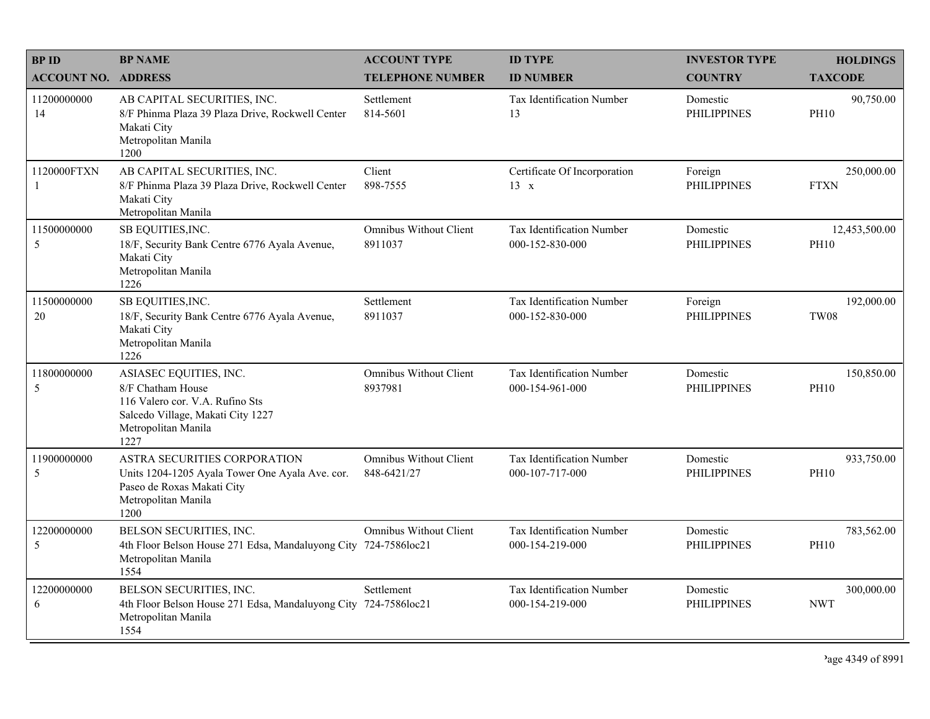| <b>BPID</b>                | <b>BP NAME</b>                                                                                                                                     | <b>ACCOUNT TYPE</b>                          | <b>ID TYPE</b>                               | <b>INVESTOR TYPE</b>           | <b>HOLDINGS</b>              |
|----------------------------|----------------------------------------------------------------------------------------------------------------------------------------------------|----------------------------------------------|----------------------------------------------|--------------------------------|------------------------------|
| <b>ACCOUNT NO. ADDRESS</b> |                                                                                                                                                    | <b>TELEPHONE NUMBER</b>                      | <b>ID NUMBER</b>                             | <b>COUNTRY</b>                 | <b>TAXCODE</b>               |
| 11200000000<br>14          | AB CAPITAL SECURITIES, INC.<br>8/F Phinma Plaza 39 Plaza Drive, Rockwell Center<br>Makati City<br>Metropolitan Manila<br>1200                      | Settlement<br>814-5601                       | Tax Identification Number<br>13              | Domestic<br><b>PHILIPPINES</b> | 90,750.00<br><b>PH10</b>     |
| 1120000FTXN<br>1           | AB CAPITAL SECURITIES, INC.<br>8/F Phinma Plaza 39 Plaza Drive, Rockwell Center<br>Makati City<br>Metropolitan Manila                              | Client<br>898-7555                           | Certificate Of Incorporation<br>$13 \times$  | Foreign<br><b>PHILIPPINES</b>  | 250,000.00<br><b>FTXN</b>    |
| 11500000000<br>5           | SB EQUITIES, INC.<br>18/F, Security Bank Centre 6776 Ayala Avenue,<br>Makati City<br>Metropolitan Manila<br>1226                                   | <b>Omnibus Without Client</b><br>8911037     | Tax Identification Number<br>000-152-830-000 | Domestic<br><b>PHILIPPINES</b> | 12,453,500.00<br><b>PH10</b> |
| 11500000000<br>20          | SB EQUITIES, INC.<br>18/F, Security Bank Centre 6776 Ayala Avenue,<br>Makati City<br>Metropolitan Manila<br>1226                                   | Settlement<br>8911037                        | Tax Identification Number<br>000-152-830-000 | Foreign<br><b>PHILIPPINES</b>  | 192,000.00<br><b>TW08</b>    |
| 11800000000<br>5           | ASIASEC EQUITIES, INC.<br>8/F Chatham House<br>116 Valero cor. V.A. Rufino Sts<br>Salcedo Village, Makati City 1227<br>Metropolitan Manila<br>1227 | <b>Omnibus Without Client</b><br>8937981     | Tax Identification Number<br>000-154-961-000 | Domestic<br><b>PHILIPPINES</b> | 150,850.00<br><b>PH10</b>    |
| 11900000000<br>5           | ASTRA SECURITIES CORPORATION<br>Units 1204-1205 Ayala Tower One Ayala Ave. cor.<br>Paseo de Roxas Makati City<br>Metropolitan Manila<br>1200       | <b>Omnibus Without Client</b><br>848-6421/27 | Tax Identification Number<br>000-107-717-000 | Domestic<br><b>PHILIPPINES</b> | 933,750.00<br><b>PH10</b>    |
| 12200000000<br>5           | BELSON SECURITIES, INC.<br>4th Floor Belson House 271 Edsa, Mandaluyong City 724-7586loc21<br>Metropolitan Manila<br>1554                          | <b>Omnibus Without Client</b>                | Tax Identification Number<br>000-154-219-000 | Domestic<br><b>PHILIPPINES</b> | 783,562.00<br><b>PH10</b>    |
| 12200000000<br>6           | BELSON SECURITIES, INC.<br>4th Floor Belson House 271 Edsa, Mandaluyong City 724-7586loc21<br>Metropolitan Manila<br>1554                          | Settlement                                   | Tax Identification Number<br>000-154-219-000 | Domestic<br><b>PHILIPPINES</b> | 300,000.00<br><b>NWT</b>     |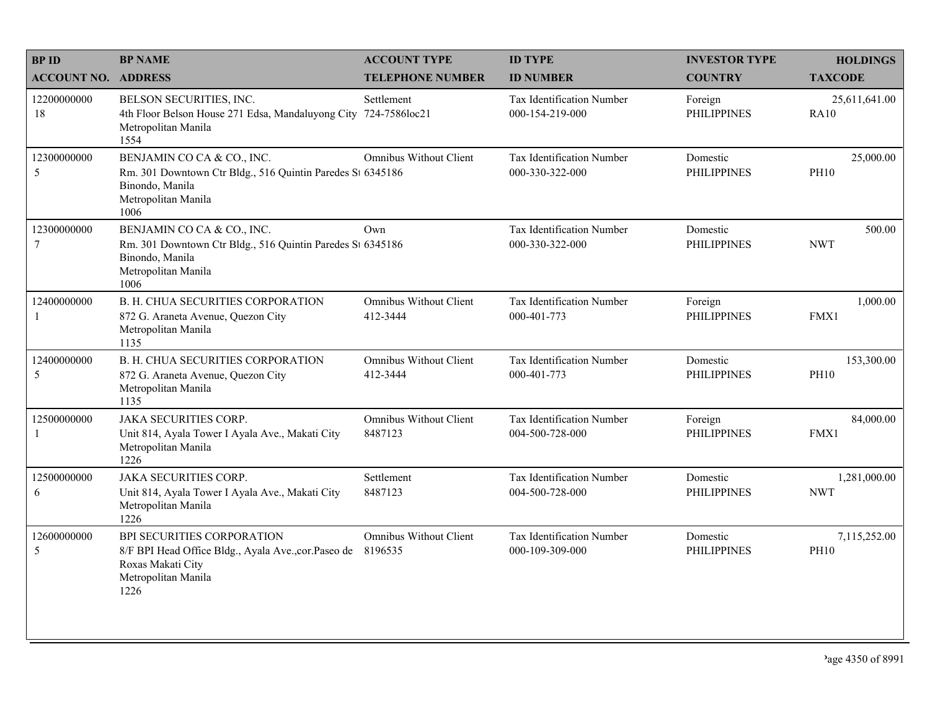| <b>BPID</b>                | <b>BP NAME</b>                                                                                                                             | <b>ACCOUNT TYPE</b>                       | <b>ID TYPE</b>                                      | <b>INVESTOR TYPE</b>           | <b>HOLDINGS</b>              |
|----------------------------|--------------------------------------------------------------------------------------------------------------------------------------------|-------------------------------------------|-----------------------------------------------------|--------------------------------|------------------------------|
| <b>ACCOUNT NO. ADDRESS</b> |                                                                                                                                            | <b>TELEPHONE NUMBER</b>                   | <b>ID NUMBER</b>                                    | <b>COUNTRY</b>                 | <b>TAXCODE</b>               |
| 12200000000<br>18          | BELSON SECURITIES, INC.<br>4th Floor Belson House 271 Edsa, Mandaluyong City<br>Metropolitan Manila<br>1554                                | Settlement<br>724-7586loc21               | <b>Tax Identification Number</b><br>000-154-219-000 | Foreign<br><b>PHILIPPINES</b>  | 25,611,641.00<br><b>RA10</b> |
| 12300000000<br>5           | BENJAMIN CO CA & CO., INC.<br>Rm. 301 Downtown Ctr Bldg., 516 Quintin Paredes St 6345186<br>Binondo, Manila<br>Metropolitan Manila<br>1006 | <b>Omnibus Without Client</b>             | Tax Identification Number<br>000-330-322-000        | Domestic<br><b>PHILIPPINES</b> | 25,000.00<br><b>PH10</b>     |
| 12300000000<br>$\tau$      | BENJAMIN CO CA & CO., INC.<br>Rm. 301 Downtown Ctr Bldg., 516 Quintin Paredes St 6345186<br>Binondo, Manila<br>Metropolitan Manila<br>1006 | Own                                       | Tax Identification Number<br>000-330-322-000        | Domestic<br><b>PHILIPPINES</b> | 500.00<br><b>NWT</b>         |
| 12400000000<br>-1          | <b>B. H. CHUA SECURITIES CORPORATION</b><br>872 G. Araneta Avenue, Quezon City<br>Metropolitan Manila<br>1135                              | <b>Omnibus Without Client</b><br>412-3444 | Tax Identification Number<br>000-401-773            | Foreign<br><b>PHILIPPINES</b>  | 1,000.00<br>FMX1             |
| 12400000000<br>5           | <b>B. H. CHUA SECURITIES CORPORATION</b><br>872 G. Araneta Avenue, Quezon City<br>Metropolitan Manila<br>1135                              | <b>Omnibus Without Client</b><br>412-3444 | Tax Identification Number<br>000-401-773            | Domestic<br><b>PHILIPPINES</b> | 153,300.00<br><b>PH10</b>    |
| 12500000000<br>-1          | <b>JAKA SECURITIES CORP.</b><br>Unit 814, Ayala Tower I Ayala Ave., Makati City<br>Metropolitan Manila<br>1226                             | <b>Omnibus Without Client</b><br>8487123  | Tax Identification Number<br>004-500-728-000        | Foreign<br><b>PHILIPPINES</b>  | 84,000.00<br>FMX1            |
| 12500000000<br>6           | <b>JAKA SECURITIES CORP.</b><br>Unit 814, Ayala Tower I Ayala Ave., Makati City<br>Metropolitan Manila<br>1226                             | Settlement<br>8487123                     | Tax Identification Number<br>004-500-728-000        | Domestic<br><b>PHILIPPINES</b> | 1,281,000.00<br><b>NWT</b>   |
| 12600000000<br>5           | BPI SECURITIES CORPORATION<br>8/F BPI Head Office Bldg., Ayala Ave., cor. Paseo de<br>Roxas Makati City<br>Metropolitan Manila<br>1226     | <b>Omnibus Without Client</b><br>8196535  | Tax Identification Number<br>000-109-309-000        | Domestic<br><b>PHILIPPINES</b> | 7,115,252.00<br><b>PH10</b>  |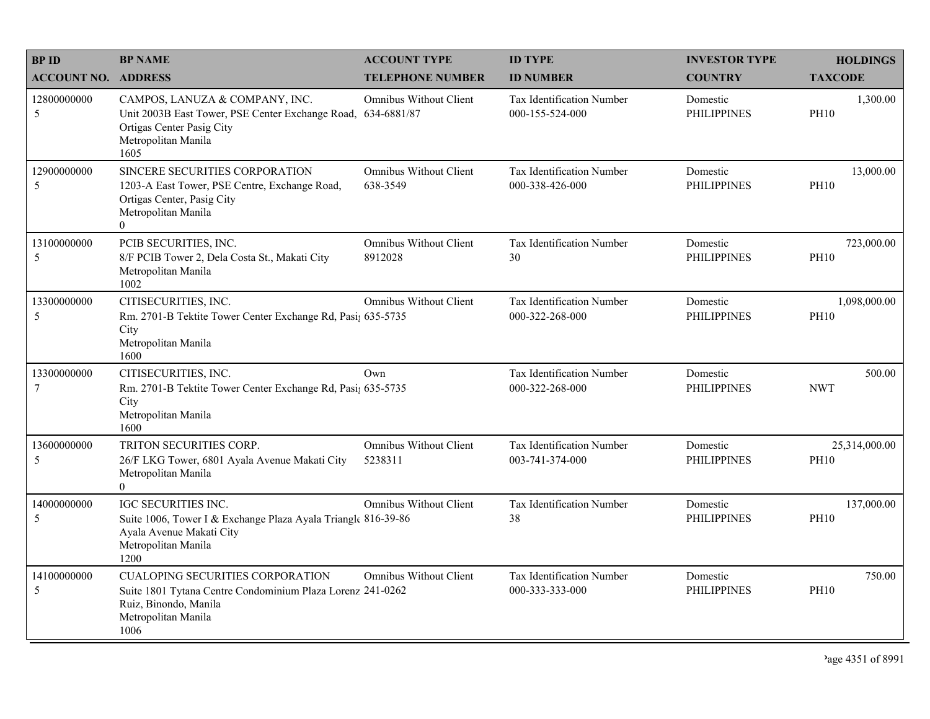| <b>BPID</b>                | <b>BP NAME</b>                                                                                                                                                | <b>ACCOUNT TYPE</b>                      | <b>ID TYPE</b>                                      | <b>INVESTOR TYPE</b>           | <b>HOLDINGS</b>              |
|----------------------------|---------------------------------------------------------------------------------------------------------------------------------------------------------------|------------------------------------------|-----------------------------------------------------|--------------------------------|------------------------------|
| <b>ACCOUNT NO. ADDRESS</b> |                                                                                                                                                               | <b>TELEPHONE NUMBER</b>                  | <b>ID NUMBER</b>                                    | <b>COUNTRY</b>                 | <b>TAXCODE</b>               |
| 12800000000<br>5           | CAMPOS, LANUZA & COMPANY, INC.<br>Unit 2003B East Tower, PSE Center Exchange Road, 634-6881/87<br>Ortigas Center Pasig City<br>Metropolitan Manila<br>1605    | <b>Omnibus Without Client</b>            | <b>Tax Identification Number</b><br>000-155-524-000 | Domestic<br><b>PHILIPPINES</b> | 1,300.00<br><b>PH10</b>      |
| 12900000000<br>5           | SINCERE SECURITIES CORPORATION<br>1203-A East Tower, PSE Centre, Exchange Road,<br>Ortigas Center, Pasig City<br>Metropolitan Manila<br>$\overline{0}$        | Omnibus Without Client<br>638-3549       | <b>Tax Identification Number</b><br>000-338-426-000 | Domestic<br><b>PHILIPPINES</b> | 13,000.00<br><b>PH10</b>     |
| 13100000000<br>5           | PCIB SECURITIES, INC.<br>8/F PCIB Tower 2, Dela Costa St., Makati City<br>Metropolitan Manila<br>1002                                                         | <b>Omnibus Without Client</b><br>8912028 | Tax Identification Number<br>30                     | Domestic<br><b>PHILIPPINES</b> | 723,000.00<br><b>PH10</b>    |
| 13300000000<br>5           | CITISECURITIES, INC.<br>Rm. 2701-B Tektite Tower Center Exchange Rd, Pasi; 635-5735<br>City<br>Metropolitan Manila<br>1600                                    | <b>Omnibus Without Client</b>            | Tax Identification Number<br>000-322-268-000        | Domestic<br><b>PHILIPPINES</b> | 1,098,000.00<br><b>PH10</b>  |
| 13300000000<br>7           | CITISECURITIES, INC.<br>Rm. 2701-B Tektite Tower Center Exchange Rd, Pasi; 635-5735<br>City<br>Metropolitan Manila<br>1600                                    | Own                                      | Tax Identification Number<br>000-322-268-000        | Domestic<br><b>PHILIPPINES</b> | 500.00<br><b>NWT</b>         |
| 13600000000<br>5           | TRITON SECURITIES CORP.<br>26/F LKG Tower, 6801 Ayala Avenue Makati City<br>Metropolitan Manila<br>$\overline{0}$                                             | <b>Omnibus Without Client</b><br>5238311 | Tax Identification Number<br>003-741-374-000        | Domestic<br><b>PHILIPPINES</b> | 25,314,000.00<br><b>PH10</b> |
| 14000000000<br>5           | <b>IGC SECURITIES INC.</b><br>Suite 1006, Tower I & Exchange Plaza Ayala Triangle 816-39-86<br>Ayala Avenue Makati City<br>Metropolitan Manila<br>1200        | <b>Omnibus Without Client</b>            | Tax Identification Number<br>38                     | Domestic<br><b>PHILIPPINES</b> | 137,000.00<br><b>PH10</b>    |
| 14100000000<br>5           | <b>CUALOPING SECURITIES CORPORATION</b><br>Suite 1801 Tytana Centre Condominium Plaza Lorenz 241-0262<br>Ruiz, Binondo, Manila<br>Metropolitan Manila<br>1006 | <b>Omnibus Without Client</b>            | Tax Identification Number<br>000-333-333-000        | Domestic<br><b>PHILIPPINES</b> | 750.00<br><b>PH10</b>        |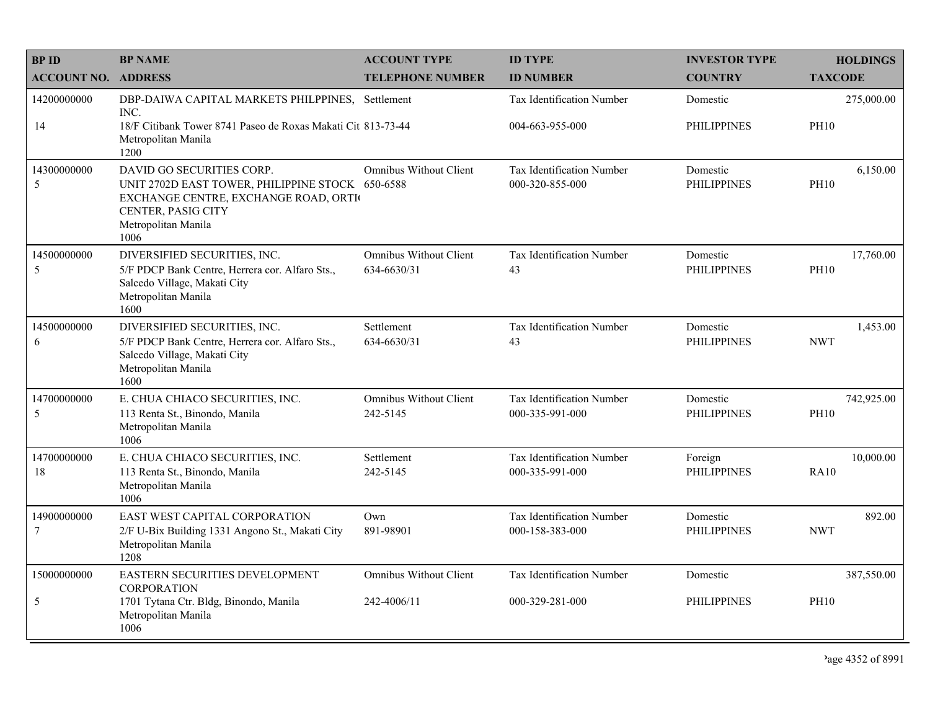| <b>BPID</b>                    | <b>BP NAME</b>                                                                                                                                                             | <b>ACCOUNT TYPE</b>                          | <b>ID TYPE</b>                                      | <b>INVESTOR TYPE</b>           | <b>HOLDINGS</b>           |
|--------------------------------|----------------------------------------------------------------------------------------------------------------------------------------------------------------------------|----------------------------------------------|-----------------------------------------------------|--------------------------------|---------------------------|
| <b>ACCOUNT NO. ADDRESS</b>     |                                                                                                                                                                            | <b>TELEPHONE NUMBER</b>                      | <b>ID NUMBER</b>                                    | <b>COUNTRY</b>                 | <b>TAXCODE</b>            |
| 14200000000                    | DBP-DAIWA CAPITAL MARKETS PHILPPINES, Settlement<br>INC.                                                                                                                   |                                              | Tax Identification Number                           | Domestic                       | 275,000.00                |
| 14                             | 18/F Citibank Tower 8741 Paseo de Roxas Makati Cit 813-73-44<br>Metropolitan Manila<br>1200                                                                                |                                              | 004-663-955-000                                     | <b>PHILIPPINES</b>             | <b>PH10</b>               |
| 14300000000<br>5               | DAVID GO SECURITIES CORP.<br>UNIT 2702D EAST TOWER, PHILIPPINE STOCK 650-6588<br>EXCHANGE CENTRE, EXCHANGE ROAD, ORTI<br>CENTER, PASIG CITY<br>Metropolitan Manila<br>1006 | <b>Omnibus Without Client</b>                | Tax Identification Number<br>000-320-855-000        | Domestic<br><b>PHILIPPINES</b> | 6,150.00<br><b>PH10</b>   |
| 14500000000<br>5               | DIVERSIFIED SECURITIES, INC.<br>5/F PDCP Bank Centre, Herrera cor. Alfaro Sts.,<br>Salcedo Village, Makati City<br>Metropolitan Manila<br>1600                             | <b>Omnibus Without Client</b><br>634-6630/31 | Tax Identification Number<br>43                     | Domestic<br><b>PHILIPPINES</b> | 17,760.00<br><b>PH10</b>  |
| 14500000000<br>6               | DIVERSIFIED SECURITIES, INC.<br>5/F PDCP Bank Centre, Herrera cor. Alfaro Sts.,<br>Salcedo Village, Makati City<br>Metropolitan Manila<br>1600                             | Settlement<br>634-6630/31                    | Tax Identification Number<br>43                     | Domestic<br><b>PHILIPPINES</b> | 1,453.00<br><b>NWT</b>    |
| 14700000000<br>5               | E. CHUA CHIACO SECURITIES, INC.<br>113 Renta St., Binondo, Manila<br>Metropolitan Manila<br>1006                                                                           | Omnibus Without Client<br>242-5145           | <b>Tax Identification Number</b><br>000-335-991-000 | Domestic<br><b>PHILIPPINES</b> | 742,925.00<br><b>PH10</b> |
| 14700000000<br>18              | E. CHUA CHIACO SECURITIES, INC.<br>113 Renta St., Binondo, Manila<br>Metropolitan Manila<br>1006                                                                           | Settlement<br>242-5145                       | Tax Identification Number<br>000-335-991-000        | Foreign<br><b>PHILIPPINES</b>  | 10,000.00<br><b>RA10</b>  |
| 14900000000<br>$7\phantom{.0}$ | EAST WEST CAPITAL CORPORATION<br>2/F U-Bix Building 1331 Angono St., Makati City<br>Metropolitan Manila<br>1208                                                            | Own<br>891-98901                             | Tax Identification Number<br>000-158-383-000        | Domestic<br><b>PHILIPPINES</b> | 892.00<br><b>NWT</b>      |
| 15000000000                    | EASTERN SECURITIES DEVELOPMENT<br><b>CORPORATION</b>                                                                                                                       | <b>Omnibus Without Client</b>                | Tax Identification Number                           | Domestic                       | 387,550.00                |
| 5                              | 1701 Tytana Ctr. Bldg, Binondo, Manila<br>Metropolitan Manila<br>1006                                                                                                      | 242-4006/11                                  | 000-329-281-000                                     | <b>PHILIPPINES</b>             | <b>PH10</b>               |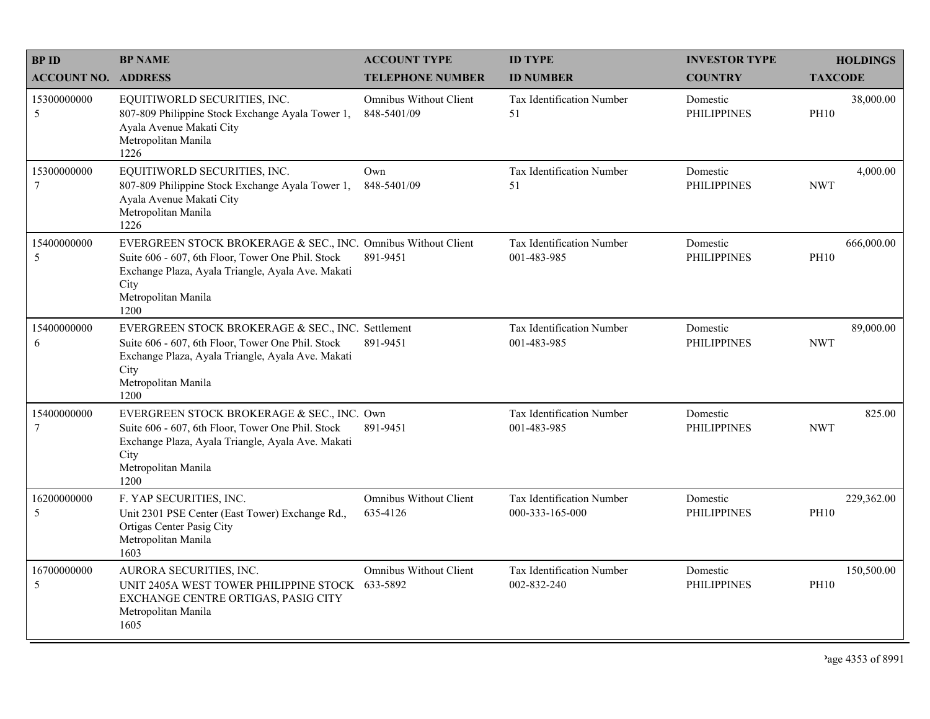| <b>BPID</b>                   | <b>BP NAME</b>                                                                                                                                                                                                 | <b>ACCOUNT TYPE</b>                          | <b>ID TYPE</b>                                  | <b>INVESTOR TYPE</b>           | <b>HOLDINGS</b>           |
|-------------------------------|----------------------------------------------------------------------------------------------------------------------------------------------------------------------------------------------------------------|----------------------------------------------|-------------------------------------------------|--------------------------------|---------------------------|
| <b>ACCOUNT NO.</b>            | <b>ADDRESS</b>                                                                                                                                                                                                 | <b>TELEPHONE NUMBER</b>                      | <b>ID NUMBER</b>                                | <b>COUNTRY</b>                 | <b>TAXCODE</b>            |
| 15300000000<br>5              | EQUITIWORLD SECURITIES, INC.<br>807-809 Philippine Stock Exchange Ayala Tower 1,<br>Ayala Avenue Makati City<br>Metropolitan Manila<br>1226                                                                    | <b>Omnibus Without Client</b><br>848-5401/09 | <b>Tax Identification Number</b><br>51          | Domestic<br><b>PHILIPPINES</b> | 38,000.00<br><b>PH10</b>  |
| 15300000000<br>$\overline{7}$ | EQUITIWORLD SECURITIES, INC.<br>807-809 Philippine Stock Exchange Ayala Tower 1,<br>Ayala Avenue Makati City<br>Metropolitan Manila<br>1226                                                                    | Own<br>848-5401/09                           | Tax Identification Number<br>51                 | Domestic<br><b>PHILIPPINES</b> | 4,000.00<br><b>NWT</b>    |
| 15400000000<br>5              | EVERGREEN STOCK BROKERAGE & SEC., INC. Omnibus Without Client<br>Suite 606 - 607, 6th Floor, Tower One Phil. Stock<br>Exchange Plaza, Ayala Triangle, Ayala Ave. Makati<br>City<br>Metropolitan Manila<br>1200 | 891-9451                                     | Tax Identification Number<br>001-483-985        | Domestic<br><b>PHILIPPINES</b> | 666,000.00<br><b>PH10</b> |
| 15400000000<br>6              | EVERGREEN STOCK BROKERAGE & SEC., INC. Settlement<br>Suite 606 - 607, 6th Floor, Tower One Phil. Stock<br>Exchange Plaza, Ayala Triangle, Ayala Ave. Makati<br>City<br>Metropolitan Manila<br>1200             | 891-9451                                     | <b>Tax Identification Number</b><br>001-483-985 | Domestic<br><b>PHILIPPINES</b> | 89,000.00<br><b>NWT</b>   |
| 15400000000<br>$\overline{7}$ | EVERGREEN STOCK BROKERAGE & SEC., INC. Own<br>Suite 606 - 607, 6th Floor, Tower One Phil. Stock<br>Exchange Plaza, Ayala Triangle, Ayala Ave. Makati<br>City<br>Metropolitan Manila<br>1200                    | 891-9451                                     | Tax Identification Number<br>001-483-985        | Domestic<br><b>PHILIPPINES</b> | 825.00<br><b>NWT</b>      |
| 16200000000<br>5              | F. YAP SECURITIES, INC.<br>Unit 2301 PSE Center (East Tower) Exchange Rd.,<br>Ortigas Center Pasig City<br>Metropolitan Manila<br>1603                                                                         | Omnibus Without Client<br>635-4126           | Tax Identification Number<br>000-333-165-000    | Domestic<br><b>PHILIPPINES</b> | 229,362.00<br><b>PH10</b> |
| 16700000000<br>5              | AURORA SECURITIES, INC.<br>UNIT 2405A WEST TOWER PHILIPPINE STOCK 633-5892<br>EXCHANGE CENTRE ORTIGAS, PASIG CITY<br>Metropolitan Manila<br>1605                                                               | <b>Omnibus Without Client</b>                | Tax Identification Number<br>002-832-240        | Domestic<br><b>PHILIPPINES</b> | 150,500.00<br><b>PH10</b> |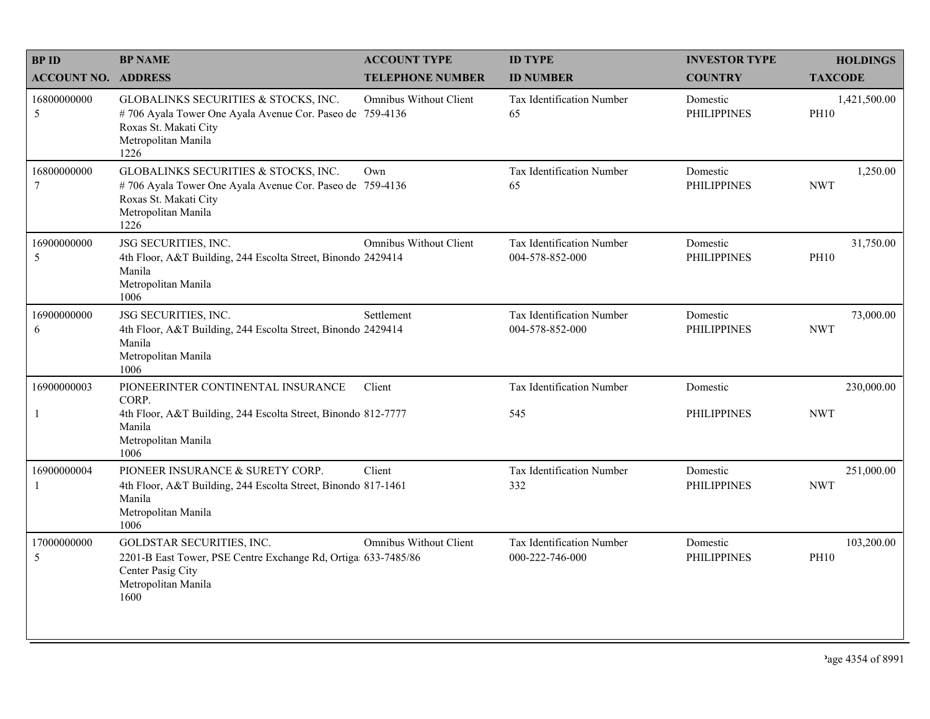| <b>BPID</b>                | <b>BP NAME</b>                                                                                                                                           | <b>ACCOUNT TYPE</b>           | <b>ID TYPE</b>                               | <b>INVESTOR TYPE</b>           | <b>HOLDINGS</b>             |
|----------------------------|----------------------------------------------------------------------------------------------------------------------------------------------------------|-------------------------------|----------------------------------------------|--------------------------------|-----------------------------|
| <b>ACCOUNT NO. ADDRESS</b> |                                                                                                                                                          | <b>TELEPHONE NUMBER</b>       | <b>ID NUMBER</b>                             | <b>COUNTRY</b>                 | <b>TAXCODE</b>              |
| 16800000000<br>5           | GLOBALINKS SECURITIES & STOCKS, INC.<br>#706 Ayala Tower One Ayala Avenue Cor. Paseo de 759-4136<br>Roxas St. Makati City<br>Metropolitan Manila<br>1226 | <b>Omnibus Without Client</b> | Tax Identification Number<br>65              | Domestic<br><b>PHILIPPINES</b> | 1,421,500.00<br><b>PH10</b> |
| 16800000000<br>7           | GLOBALINKS SECURITIES & STOCKS, INC.<br>#706 Ayala Tower One Ayala Avenue Cor. Paseo de 759-4136<br>Roxas St. Makati City<br>Metropolitan Manila<br>1226 | Own                           | Tax Identification Number<br>65              | Domestic<br><b>PHILIPPINES</b> | 1,250.00<br><b>NWT</b>      |
| 16900000000<br>5           | JSG SECURITIES, INC.<br>4th Floor, A&T Building, 244 Escolta Street, Binondo 2429414<br>Manila<br>Metropolitan Manila<br>1006                            | <b>Omnibus Without Client</b> | Tax Identification Number<br>004-578-852-000 | Domestic<br><b>PHILIPPINES</b> | 31,750.00<br><b>PH10</b>    |
| 16900000000<br>6           | JSG SECURITIES, INC.<br>4th Floor, A&T Building, 244 Escolta Street, Binondo 2429414<br>Manila<br>Metropolitan Manila<br>1006                            | Settlement                    | Tax Identification Number<br>004-578-852-000 | Domestic<br><b>PHILIPPINES</b> | 73,000.00<br><b>NWT</b>     |
| 16900000003                | PIONEERINTER CONTINENTAL INSURANCE<br>CORP.                                                                                                              | Client                        | Tax Identification Number                    | Domestic                       | 230,000.00                  |
| $\mathbf{1}$               | 4th Floor, A&T Building, 244 Escolta Street, Binondo 812-7777<br>Manila<br>Metropolitan Manila<br>1006                                                   |                               | 545                                          | <b>PHILIPPINES</b>             | <b>NWT</b>                  |
| 16900000004                | PIONEER INSURANCE & SURETY CORP.<br>4th Floor, A&T Building, 244 Escolta Street, Binondo 817-1461<br>Manila<br>Metropolitan Manila<br>1006               | Client                        | Tax Identification Number<br>332             | Domestic<br><b>PHILIPPINES</b> | 251,000.00<br><b>NWT</b>    |
| 17000000000<br>5           | GOLDSTAR SECURITIES, INC.<br>2201-B East Tower, PSE Centre Exchange Rd, Ortiga 633-7485/86<br>Center Pasig City<br>Metropolitan Manila<br>1600           | <b>Omnibus Without Client</b> | Tax Identification Number<br>000-222-746-000 | Domestic<br><b>PHILIPPINES</b> | 103,200.00<br><b>PH10</b>   |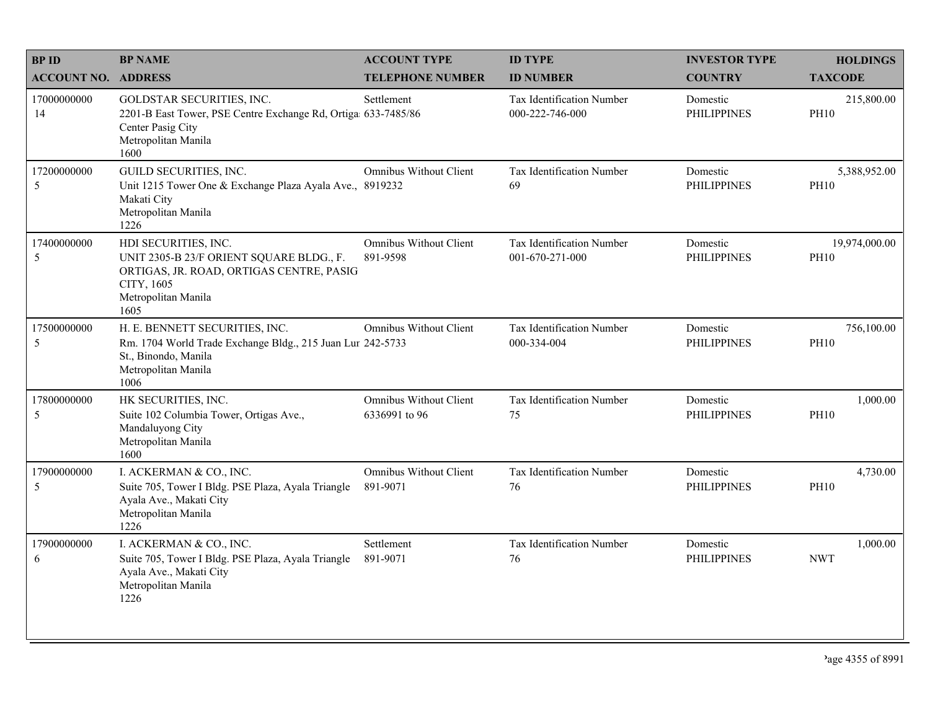| <b>BPID</b>                | <b>BP NAME</b>                                                                                                                                            | <b>ACCOUNT TYPE</b>                            | <b>ID TYPE</b>                               | <b>INVESTOR TYPE</b>           | <b>HOLDINGS</b>              |
|----------------------------|-----------------------------------------------------------------------------------------------------------------------------------------------------------|------------------------------------------------|----------------------------------------------|--------------------------------|------------------------------|
| <b>ACCOUNT NO. ADDRESS</b> |                                                                                                                                                           | <b>TELEPHONE NUMBER</b>                        | <b>ID NUMBER</b>                             | <b>COUNTRY</b>                 | <b>TAXCODE</b>               |
| 17000000000<br>14          | GOLDSTAR SECURITIES, INC.<br>2201-B East Tower, PSE Centre Exchange Rd, Ortiga 633-7485/86<br>Center Pasig City<br>Metropolitan Manila<br>1600            | Settlement                                     | Tax Identification Number<br>000-222-746-000 | Domestic<br><b>PHILIPPINES</b> | 215,800.00<br><b>PH10</b>    |
| 17200000000<br>5           | GUILD SECURITIES, INC.<br>Unit 1215 Tower One & Exchange Plaza Ayala Ave., 8919232<br>Makati City<br>Metropolitan Manila<br>1226                          | <b>Omnibus Without Client</b>                  | Tax Identification Number<br>69              | Domestic<br><b>PHILIPPINES</b> | 5,388,952.00<br><b>PH10</b>  |
| 17400000000<br>5           | HDI SECURITIES, INC.<br>UNIT 2305-B 23/F ORIENT SQUARE BLDG., F.<br>ORTIGAS, JR. ROAD, ORTIGAS CENTRE, PASIG<br>CITY, 1605<br>Metropolitan Manila<br>1605 | <b>Omnibus Without Client</b><br>891-9598      | Tax Identification Number<br>001-670-271-000 | Domestic<br><b>PHILIPPINES</b> | 19,974,000.00<br><b>PH10</b> |
| 17500000000<br>5           | H. E. BENNETT SECURITIES, INC.<br>Rm. 1704 World Trade Exchange Bldg., 215 Juan Lur 242-5733<br>St., Binondo, Manila<br>Metropolitan Manila<br>1006       | Omnibus Without Client                         | Tax Identification Number<br>000-334-004     | Domestic<br><b>PHILIPPINES</b> | 756,100.00<br><b>PH10</b>    |
| 17800000000<br>5           | HK SECURITIES, INC.<br>Suite 102 Columbia Tower, Ortigas Ave.,<br>Mandaluyong City<br>Metropolitan Manila<br>1600                                         | <b>Omnibus Without Client</b><br>6336991 to 96 | Tax Identification Number<br>75              | Domestic<br><b>PHILIPPINES</b> | 1,000.00<br><b>PH10</b>      |
| 17900000000<br>5           | I. ACKERMAN & CO., INC.<br>Suite 705, Tower I Bldg. PSE Plaza, Ayala Triangle<br>Ayala Ave., Makati City<br>Metropolitan Manila<br>1226                   | <b>Omnibus Without Client</b><br>891-9071      | Tax Identification Number<br>76              | Domestic<br><b>PHILIPPINES</b> | 4,730.00<br><b>PH10</b>      |
| 17900000000<br>6           | I. ACKERMAN & CO., INC.<br>Suite 705, Tower I Bldg. PSE Plaza, Ayala Triangle<br>Ayala Ave., Makati City<br>Metropolitan Manila<br>1226                   | Settlement<br>891-9071                         | Tax Identification Number<br>76              | Domestic<br><b>PHILIPPINES</b> | 1,000.00<br><b>NWT</b>       |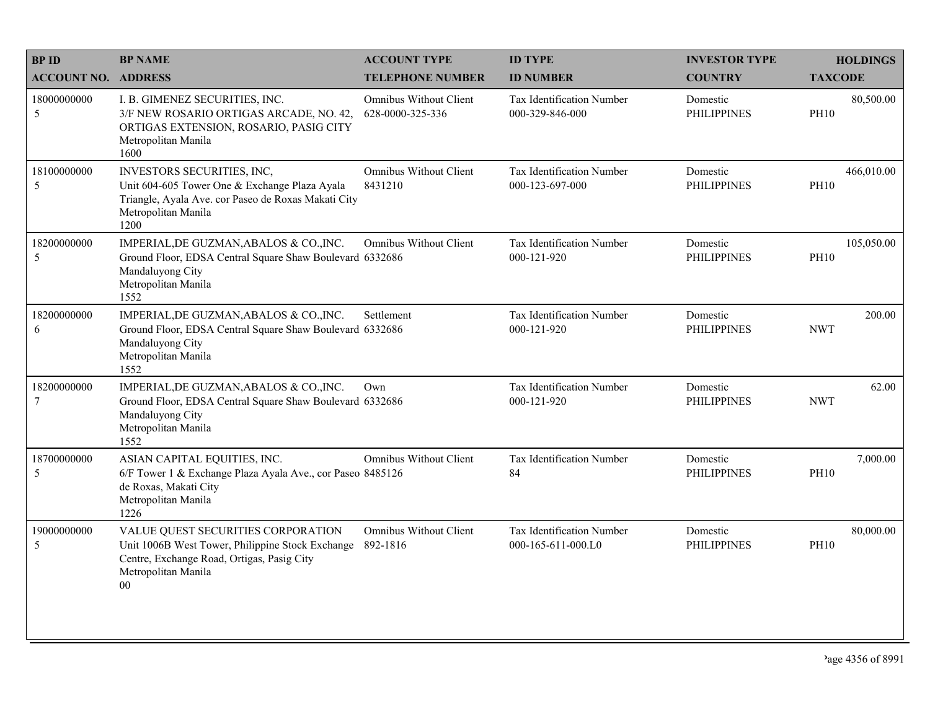| <b>BPID</b>                   | <b>BP NAME</b>                                                                                                                                                        | <b>ACCOUNT TYPE</b>                               | <b>ID TYPE</b>                                      | <b>INVESTOR TYPE</b>           | <b>HOLDINGS</b>           |
|-------------------------------|-----------------------------------------------------------------------------------------------------------------------------------------------------------------------|---------------------------------------------------|-----------------------------------------------------|--------------------------------|---------------------------|
| <b>ACCOUNT NO. ADDRESS</b>    |                                                                                                                                                                       | <b>TELEPHONE NUMBER</b>                           | <b>ID NUMBER</b>                                    | <b>COUNTRY</b>                 | <b>TAXCODE</b>            |
| 18000000000<br>5              | I. B. GIMENEZ SECURITIES, INC.<br>3/F NEW ROSARIO ORTIGAS ARCADE, NO. 42,<br>ORTIGAS EXTENSION, ROSARIO, PASIG CITY<br>Metropolitan Manila<br>1600                    | <b>Omnibus Without Client</b><br>628-0000-325-336 | <b>Tax Identification Number</b><br>000-329-846-000 | Domestic<br><b>PHILIPPINES</b> | 80,500.00<br><b>PH10</b>  |
| 18100000000<br>5              | INVESTORS SECURITIES, INC,<br>Unit 604-605 Tower One & Exchange Plaza Ayala<br>Triangle, Ayala Ave. cor Paseo de Roxas Makati City<br>Metropolitan Manila<br>1200     | <b>Omnibus Without Client</b><br>8431210          | Tax Identification Number<br>000-123-697-000        | Domestic<br><b>PHILIPPINES</b> | 466,010.00<br><b>PH10</b> |
| 18200000000<br>5              | IMPERIAL, DE GUZMAN, ABALOS & CO., INC.<br>Ground Floor, EDSA Central Square Shaw Boulevard 6332686<br>Mandaluyong City<br>Metropolitan Manila<br>1552                | <b>Omnibus Without Client</b>                     | Tax Identification Number<br>000-121-920            | Domestic<br><b>PHILIPPINES</b> | 105,050.00<br><b>PH10</b> |
| 18200000000<br>6              | IMPERIAL, DE GUZMAN, ABALOS & CO., INC.<br>Ground Floor, EDSA Central Square Shaw Boulevard 6332686<br>Mandaluyong City<br>Metropolitan Manila<br>1552                | Settlement                                        | Tax Identification Number<br>000-121-920            | Domestic<br><b>PHILIPPINES</b> | 200.00<br><b>NWT</b>      |
| 18200000000<br>$\overline{7}$ | IMPERIAL, DE GUZMAN, ABALOS & CO., INC.<br>Ground Floor, EDSA Central Square Shaw Boulevard 6332686<br>Mandaluyong City<br>Metropolitan Manila<br>1552                | Own                                               | Tax Identification Number<br>000-121-920            | Domestic<br><b>PHILIPPINES</b> | 62.00<br><b>NWT</b>       |
| 18700000000<br>5              | ASIAN CAPITAL EQUITIES, INC.<br>6/F Tower 1 & Exchange Plaza Ayala Ave., cor Paseo 8485126<br>de Roxas, Makati City<br>Metropolitan Manila<br>1226                    | Omnibus Without Client                            | Tax Identification Number<br>84                     | Domestic<br><b>PHILIPPINES</b> | 7,000.00<br><b>PH10</b>   |
| 19000000000<br>5              | VALUE QUEST SECURITIES CORPORATION<br>Unit 1006B West Tower, Philippine Stock Exchange<br>Centre, Exchange Road, Ortigas, Pasig City<br>Metropolitan Manila<br>$00\,$ | <b>Omnibus Without Client</b><br>892-1816         | Tax Identification Number<br>000-165-611-000.L0     | Domestic<br><b>PHILIPPINES</b> | 80,000.00<br><b>PH10</b>  |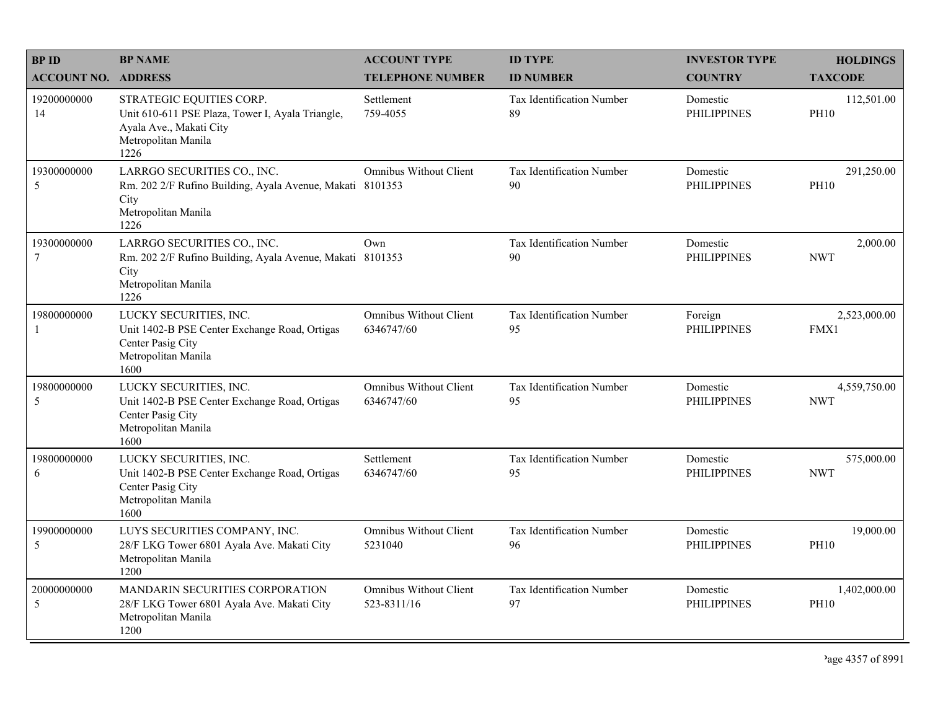| <b>BPID</b>                   | <b>BP NAME</b>                                                                                                                         | <b>ACCOUNT TYPE</b>                          | <b>ID TYPE</b>                  | <b>INVESTOR TYPE</b>           | <b>HOLDINGS</b>             |
|-------------------------------|----------------------------------------------------------------------------------------------------------------------------------------|----------------------------------------------|---------------------------------|--------------------------------|-----------------------------|
| <b>ACCOUNT NO. ADDRESS</b>    |                                                                                                                                        | <b>TELEPHONE NUMBER</b>                      | <b>ID NUMBER</b>                | <b>COUNTRY</b>                 | <b>TAXCODE</b>              |
| 19200000000<br>14             | STRATEGIC EQUITIES CORP.<br>Unit 610-611 PSE Plaza, Tower I, Ayala Triangle,<br>Ayala Ave., Makati City<br>Metropolitan Manila<br>1226 | Settlement<br>759-4055                       | Tax Identification Number<br>89 | Domestic<br><b>PHILIPPINES</b> | 112,501.00<br><b>PH10</b>   |
| 19300000000<br>5              | LARRGO SECURITIES CO., INC.<br>Rm. 202 2/F Rufino Building, Ayala Avenue, Makati 8101353<br>City<br>Metropolitan Manila<br>1226        | <b>Omnibus Without Client</b>                | Tax Identification Number<br>90 | Domestic<br><b>PHILIPPINES</b> | 291,250.00<br><b>PH10</b>   |
| 19300000000<br>$\overline{7}$ | LARRGO SECURITIES CO., INC.<br>Rm. 202 2/F Rufino Building, Ayala Avenue, Makati 8101353<br>City<br>Metropolitan Manila<br>1226        | Own                                          | Tax Identification Number<br>90 | Domestic<br><b>PHILIPPINES</b> | 2,000.00<br><b>NWT</b>      |
| 19800000000<br>-1             | LUCKY SECURITIES, INC.<br>Unit 1402-B PSE Center Exchange Road, Ortigas<br>Center Pasig City<br>Metropolitan Manila<br>1600            | <b>Omnibus Without Client</b><br>6346747/60  | Tax Identification Number<br>95 | Foreign<br><b>PHILIPPINES</b>  | 2,523,000.00<br>FMX1        |
| 19800000000<br>5              | LUCKY SECURITIES, INC.<br>Unit 1402-B PSE Center Exchange Road, Ortigas<br>Center Pasig City<br>Metropolitan Manila<br>1600            | Omnibus Without Client<br>6346747/60         | Tax Identification Number<br>95 | Domestic<br><b>PHILIPPINES</b> | 4,559,750.00<br><b>NWT</b>  |
| 19800000000<br>6              | LUCKY SECURITIES, INC.<br>Unit 1402-B PSE Center Exchange Road, Ortigas<br>Center Pasig City<br>Metropolitan Manila<br>1600            | Settlement<br>6346747/60                     | Tax Identification Number<br>95 | Domestic<br><b>PHILIPPINES</b> | 575,000.00<br><b>NWT</b>    |
| 19900000000<br>5              | LUYS SECURITIES COMPANY, INC.<br>28/F LKG Tower 6801 Ayala Ave. Makati City<br>Metropolitan Manila<br>1200                             | <b>Omnibus Without Client</b><br>5231040     | Tax Identification Number<br>96 | Domestic<br><b>PHILIPPINES</b> | 19,000.00<br><b>PH10</b>    |
| 20000000000<br>5              | MANDARIN SECURITIES CORPORATION<br>28/F LKG Tower 6801 Ayala Ave. Makati City<br>Metropolitan Manila<br>1200                           | <b>Omnibus Without Client</b><br>523-8311/16 | Tax Identification Number<br>97 | Domestic<br><b>PHILIPPINES</b> | 1,402,000.00<br><b>PH10</b> |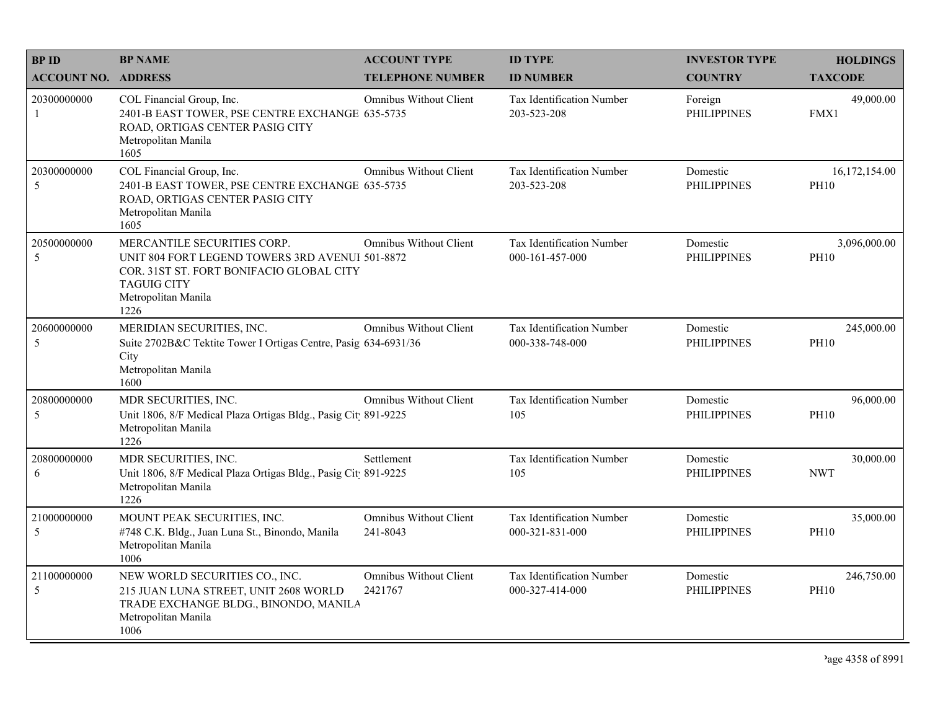| <b>BPID</b>                | <b>BP NAME</b>                                                                                                                                                                  | <b>ACCOUNT TYPE</b>                       | <b>ID TYPE</b>                                      | <b>INVESTOR TYPE</b>           | <b>HOLDINGS</b>              |
|----------------------------|---------------------------------------------------------------------------------------------------------------------------------------------------------------------------------|-------------------------------------------|-----------------------------------------------------|--------------------------------|------------------------------|
| <b>ACCOUNT NO. ADDRESS</b> |                                                                                                                                                                                 | <b>TELEPHONE NUMBER</b>                   | <b>ID NUMBER</b>                                    | <b>COUNTRY</b>                 | <b>TAXCODE</b>               |
| 20300000000<br>-1          | COL Financial Group, Inc.<br>2401-B EAST TOWER, PSE CENTRE EXCHANGE 635-5735<br>ROAD, ORTIGAS CENTER PASIG CITY<br>Metropolitan Manila<br>1605                                  | Omnibus Without Client                    | <b>Tax Identification Number</b><br>203-523-208     | Foreign<br><b>PHILIPPINES</b>  | 49,000.00<br>FMX1            |
| 20300000000<br>5           | COL Financial Group, Inc.<br>2401-B EAST TOWER, PSE CENTRE EXCHANGE 635-5735<br>ROAD, ORTIGAS CENTER PASIG CITY<br>Metropolitan Manila<br>1605                                  | Omnibus Without Client                    | Tax Identification Number<br>203-523-208            | Domestic<br><b>PHILIPPINES</b> | 16,172,154.00<br><b>PH10</b> |
| 20500000000<br>5           | MERCANTILE SECURITIES CORP.<br>UNIT 804 FORT LEGEND TOWERS 3RD AVENUI 501-8872<br>COR. 31ST ST. FORT BONIFACIO GLOBAL CITY<br><b>TAGUIG CITY</b><br>Metropolitan Manila<br>1226 | <b>Omnibus Without Client</b>             | Tax Identification Number<br>000-161-457-000        | Domestic<br><b>PHILIPPINES</b> | 3,096,000.00<br><b>PH10</b>  |
| 20600000000<br>5           | MERIDIAN SECURITIES, INC.<br>Suite 2702B&C Tektite Tower I Ortigas Centre, Pasig 634-6931/36<br>City<br>Metropolitan Manila<br>1600                                             | <b>Omnibus Without Client</b>             | <b>Tax Identification Number</b><br>000-338-748-000 | Domestic<br><b>PHILIPPINES</b> | 245,000.00<br><b>PH10</b>    |
| 20800000000<br>5           | MDR SECURITIES, INC.<br>Unit 1806, 8/F Medical Plaza Ortigas Bldg., Pasig Cit 891-9225<br>Metropolitan Manila<br>1226                                                           | <b>Omnibus Without Client</b>             | Tax Identification Number<br>105                    | Domestic<br><b>PHILIPPINES</b> | 96,000.00<br><b>PH10</b>     |
| 20800000000<br>6           | MDR SECURITIES, INC.<br>Unit 1806, 8/F Medical Plaza Ortigas Bldg., Pasig Cit 891-9225<br>Metropolitan Manila<br>1226                                                           | Settlement                                | Tax Identification Number<br>105                    | Domestic<br><b>PHILIPPINES</b> | 30,000.00<br><b>NWT</b>      |
| 21000000000<br>5           | MOUNT PEAK SECURITIES, INC.<br>#748 C.K. Bldg., Juan Luna St., Binondo, Manila<br>Metropolitan Manila<br>1006                                                                   | <b>Omnibus Without Client</b><br>241-8043 | Tax Identification Number<br>000-321-831-000        | Domestic<br><b>PHILIPPINES</b> | 35,000.00<br><b>PH10</b>     |
| 21100000000<br>5           | NEW WORLD SECURITIES CO., INC.<br>215 JUAN LUNA STREET, UNIT 2608 WORLD<br>TRADE EXCHANGE BLDG., BINONDO, MANILA<br>Metropolitan Manila<br>1006                                 | <b>Omnibus Without Client</b><br>2421767  | Tax Identification Number<br>000-327-414-000        | Domestic<br><b>PHILIPPINES</b> | 246,750.00<br><b>PH10</b>    |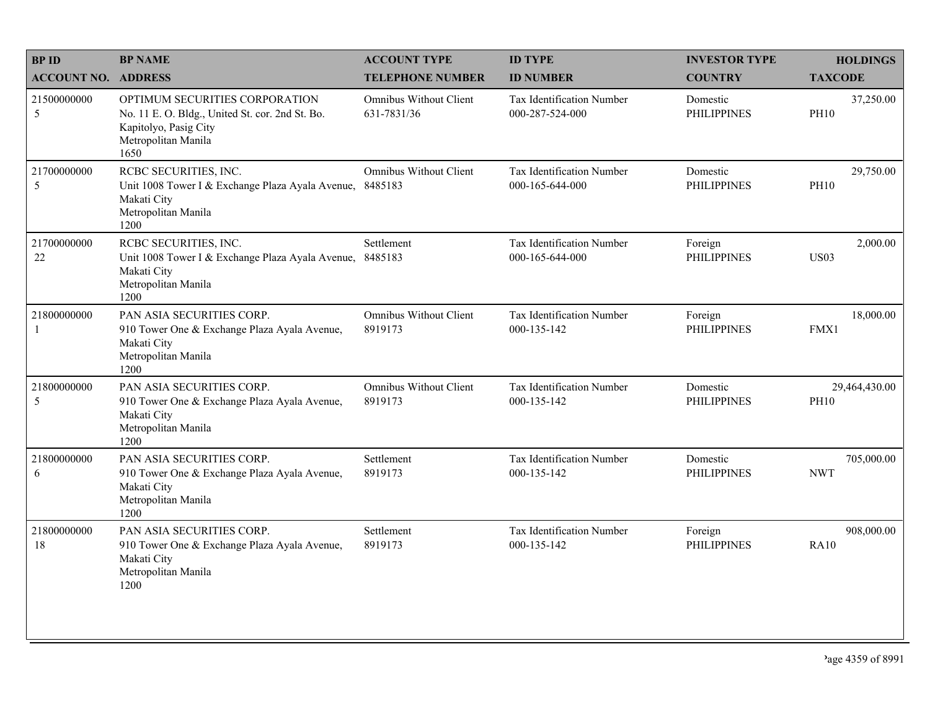| <b>BPID</b>                 | <b>BP NAME</b>                                                                                                                            | <b>ACCOUNT TYPE</b>                      | <b>ID TYPE</b>                               | <b>INVESTOR TYPE</b>           | <b>HOLDINGS</b>              |
|-----------------------------|-------------------------------------------------------------------------------------------------------------------------------------------|------------------------------------------|----------------------------------------------|--------------------------------|------------------------------|
| <b>ACCOUNT NO. ADDRESS</b>  |                                                                                                                                           | <b>TELEPHONE NUMBER</b>                  | <b>ID NUMBER</b>                             | <b>COUNTRY</b>                 | <b>TAXCODE</b>               |
| 21500000000<br>5            | OPTIMUM SECURITIES CORPORATION<br>No. 11 E. O. Bldg., United St. cor. 2nd St. Bo.<br>Kapitolyo, Pasig City<br>Metropolitan Manila<br>1650 | Omnibus Without Client<br>631-7831/36    | Tax Identification Number<br>000-287-524-000 | Domestic<br><b>PHILIPPINES</b> | 37,250.00<br><b>PH10</b>     |
| 21700000000<br>5            | RCBC SECURITIES, INC.<br>Unit 1008 Tower I & Exchange Plaza Ayala Avenue,<br>Makati City<br>Metropolitan Manila<br>1200                   | <b>Omnibus Without Client</b><br>8485183 | Tax Identification Number<br>000-165-644-000 | Domestic<br><b>PHILIPPINES</b> | 29,750.00<br><b>PH10</b>     |
| 21700000000<br>22           | RCBC SECURITIES, INC.<br>Unit 1008 Tower I & Exchange Plaza Ayala Avenue,<br>Makati City<br>Metropolitan Manila<br>1200                   | Settlement<br>8485183                    | Tax Identification Number<br>000-165-644-000 | Foreign<br><b>PHILIPPINES</b>  | 2,000.00<br><b>US03</b>      |
| 21800000000<br>$\mathbf{1}$ | PAN ASIA SECURITIES CORP.<br>910 Tower One & Exchange Plaza Ayala Avenue,<br>Makati City<br>Metropolitan Manila<br>1200                   | Omnibus Without Client<br>8919173        | Tax Identification Number<br>000-135-142     | Foreign<br><b>PHILIPPINES</b>  | 18,000.00<br>FMX1            |
| 21800000000<br>5            | PAN ASIA SECURITIES CORP.<br>910 Tower One & Exchange Plaza Ayala Avenue,<br>Makati City<br>Metropolitan Manila<br>1200                   | <b>Omnibus Without Client</b><br>8919173 | Tax Identification Number<br>000-135-142     | Domestic<br><b>PHILIPPINES</b> | 29,464,430.00<br><b>PH10</b> |
| 21800000000<br>6            | PAN ASIA SECURITIES CORP.<br>910 Tower One & Exchange Plaza Ayala Avenue,<br>Makati City<br>Metropolitan Manila<br>1200                   | Settlement<br>8919173                    | Tax Identification Number<br>000-135-142     | Domestic<br><b>PHILIPPINES</b> | 705,000.00<br><b>NWT</b>     |
| 21800000000<br>18           | PAN ASIA SECURITIES CORP.<br>910 Tower One & Exchange Plaza Ayala Avenue,<br>Makati City<br>Metropolitan Manila<br>1200                   | Settlement<br>8919173                    | Tax Identification Number<br>000-135-142     | Foreign<br><b>PHILIPPINES</b>  | 908,000.00<br><b>RA10</b>    |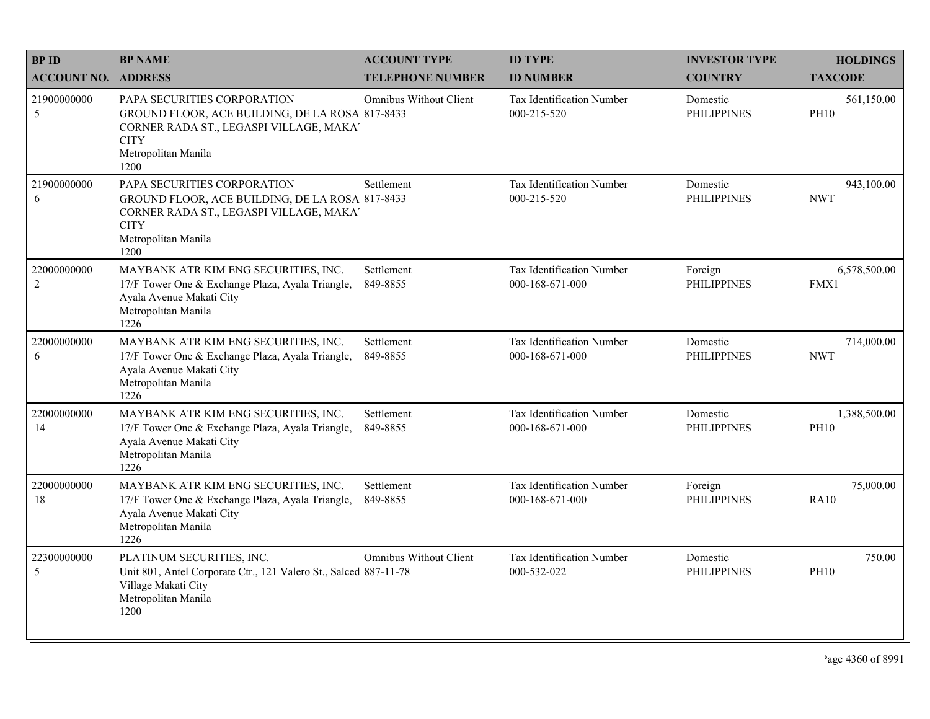| <b>BPID</b>                   | <b>BP NAME</b>                                                                                                                                                          | <b>ACCOUNT TYPE</b>           | <b>ID TYPE</b>                                      | <b>INVESTOR TYPE</b>           | <b>HOLDINGS</b>             |
|-------------------------------|-------------------------------------------------------------------------------------------------------------------------------------------------------------------------|-------------------------------|-----------------------------------------------------|--------------------------------|-----------------------------|
| <b>ACCOUNT NO. ADDRESS</b>    |                                                                                                                                                                         | <b>TELEPHONE NUMBER</b>       | <b>ID NUMBER</b>                                    | <b>COUNTRY</b>                 | <b>TAXCODE</b>              |
| 21900000000<br>5              | PAPA SECURITIES CORPORATION<br>GROUND FLOOR, ACE BUILDING, DE LA ROSA 817-8433<br>CORNER RADA ST., LEGASPI VILLAGE, MAKA'<br><b>CITY</b><br>Metropolitan Manila<br>1200 | <b>Omnibus Without Client</b> | <b>Tax Identification Number</b><br>000-215-520     | Domestic<br><b>PHILIPPINES</b> | 561,150.00<br><b>PH10</b>   |
| 21900000000<br>6              | PAPA SECURITIES CORPORATION<br>GROUND FLOOR, ACE BUILDING, DE LA ROSA 817-8433<br>CORNER RADA ST., LEGASPI VILLAGE, MAKA'<br><b>CITY</b><br>Metropolitan Manila<br>1200 | Settlement                    | Tax Identification Number<br>000-215-520            | Domestic<br><b>PHILIPPINES</b> | 943,100.00<br><b>NWT</b>    |
| 22000000000<br>$\overline{c}$ | MAYBANK ATR KIM ENG SECURITIES, INC.<br>17/F Tower One & Exchange Plaza, Ayala Triangle,<br>Ayala Avenue Makati City<br>Metropolitan Manila<br>1226                     | Settlement<br>849-8855        | <b>Tax Identification Number</b><br>000-168-671-000 | Foreign<br><b>PHILIPPINES</b>  | 6,578,500.00<br>FMX1        |
| 22000000000<br>6              | MAYBANK ATR KIM ENG SECURITIES, INC.<br>17/F Tower One & Exchange Plaza, Ayala Triangle,<br>Ayala Avenue Makati City<br>Metropolitan Manila<br>1226                     | Settlement<br>849-8855        | <b>Tax Identification Number</b><br>000-168-671-000 | Domestic<br><b>PHILIPPINES</b> | 714,000.00<br><b>NWT</b>    |
| 22000000000<br>14             | MAYBANK ATR KIM ENG SECURITIES, INC.<br>17/F Tower One & Exchange Plaza, Ayala Triangle,<br>Ayala Avenue Makati City<br>Metropolitan Manila<br>1226                     | Settlement<br>849-8855        | Tax Identification Number<br>000-168-671-000        | Domestic<br><b>PHILIPPINES</b> | 1,388,500.00<br><b>PH10</b> |
| 22000000000<br>18             | MAYBANK ATR KIM ENG SECURITIES, INC.<br>17/F Tower One & Exchange Plaza, Ayala Triangle,<br>Ayala Avenue Makati City<br>Metropolitan Manila<br>1226                     | Settlement<br>849-8855        | <b>Tax Identification Number</b><br>000-168-671-000 | Foreign<br><b>PHILIPPINES</b>  | 75,000.00<br><b>RA10</b>    |
| 22300000000<br>5              | PLATINUM SECURITIES, INC.<br>Unit 801, Antel Corporate Ctr., 121 Valero St., Salced 887-11-78<br>Village Makati City<br>Metropolitan Manila<br>1200                     | <b>Omnibus Without Client</b> | Tax Identification Number<br>000-532-022            | Domestic<br><b>PHILIPPINES</b> | 750.00<br><b>PH10</b>       |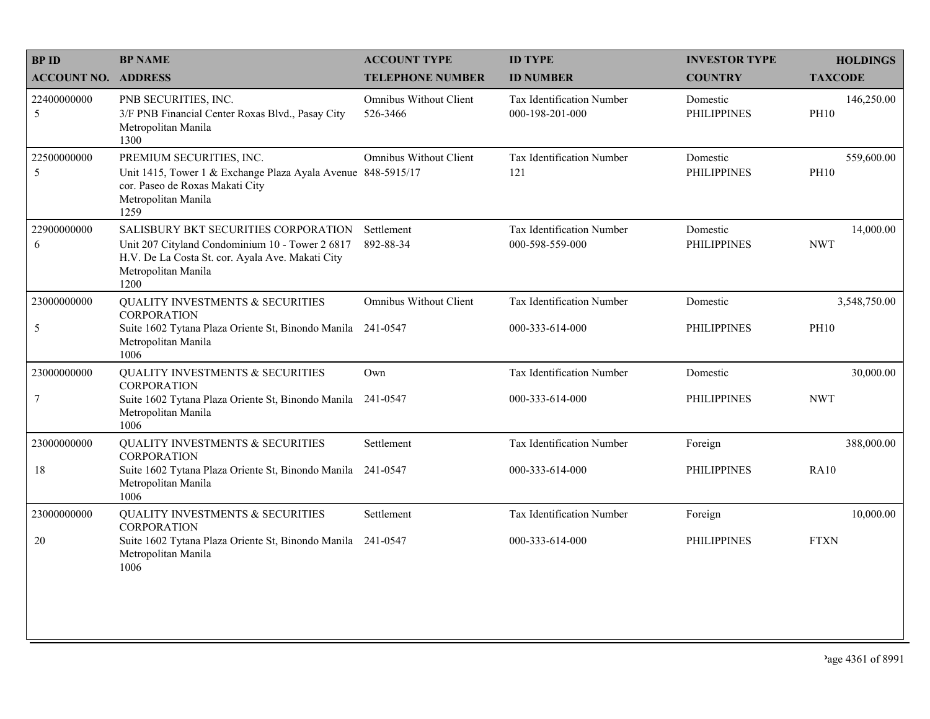| <b>BPID</b>                | <b>BP NAME</b>                                                                                                                                                             | <b>ACCOUNT TYPE</b>                       | <b>ID TYPE</b>                               | <b>INVESTOR TYPE</b>           | <b>HOLDINGS</b>           |
|----------------------------|----------------------------------------------------------------------------------------------------------------------------------------------------------------------------|-------------------------------------------|----------------------------------------------|--------------------------------|---------------------------|
| <b>ACCOUNT NO. ADDRESS</b> |                                                                                                                                                                            | <b>TELEPHONE NUMBER</b>                   | <b>ID NUMBER</b>                             | <b>COUNTRY</b>                 | <b>TAXCODE</b>            |
| 22400000000<br>$\sqrt{5}$  | PNB SECURITIES, INC.<br>3/F PNB Financial Center Roxas Blvd., Pasay City<br>Metropolitan Manila<br>1300                                                                    | <b>Omnibus Without Client</b><br>526-3466 | Tax Identification Number<br>000-198-201-000 | Domestic<br><b>PHILIPPINES</b> | 146,250.00<br><b>PH10</b> |
| 22500000000<br>5           | PREMIUM SECURITIES, INC.<br>Unit 1415, Tower 1 & Exchange Plaza Ayala Avenue 848-5915/17<br>cor. Paseo de Roxas Makati City<br>Metropolitan Manila<br>1259                 | Omnibus Without Client                    | Tax Identification Number<br>121             | Domestic<br><b>PHILIPPINES</b> | 559,600.00<br><b>PH10</b> |
| 22900000000<br>6           | SALISBURY BKT SECURITIES CORPORATION<br>Unit 207 Cityland Condominium 10 - Tower 2 6817<br>H.V. De La Costa St. cor. Ayala Ave. Makati City<br>Metropolitan Manila<br>1200 | Settlement<br>892-88-34                   | Tax Identification Number<br>000-598-559-000 | Domestic<br><b>PHILIPPINES</b> | 14,000.00<br><b>NWT</b>   |
| 23000000000                | QUALITY INVESTMENTS & SECURITIES<br><b>CORPORATION</b>                                                                                                                     | <b>Omnibus Without Client</b>             | Tax Identification Number                    | Domestic                       | 3,548,750.00              |
| $\sqrt{5}$                 | Suite 1602 Tytana Plaza Oriente St, Binondo Manila<br>Metropolitan Manila<br>1006                                                                                          | 241-0547                                  | 000-333-614-000                              | <b>PHILIPPINES</b>             | <b>PH10</b>               |
| 23000000000                | QUALITY INVESTMENTS & SECURITIES<br><b>CORPORATION</b>                                                                                                                     | Own                                       | Tax Identification Number                    | Domestic                       | 30,000.00                 |
| $\overline{7}$             | Suite 1602 Tytana Plaza Oriente St, Binondo Manila 241-0547<br>Metropolitan Manila<br>1006                                                                                 |                                           | 000-333-614-000                              | <b>PHILIPPINES</b>             | <b>NWT</b>                |
| 23000000000                | QUALITY INVESTMENTS & SECURITIES<br><b>CORPORATION</b>                                                                                                                     | Settlement                                | Tax Identification Number                    | Foreign                        | 388,000.00                |
| 18                         | Suite 1602 Tytana Plaza Oriente St, Binondo Manila<br>Metropolitan Manila<br>1006                                                                                          | 241-0547                                  | 000-333-614-000                              | <b>PHILIPPINES</b>             | <b>RA10</b>               |
| 23000000000                | QUALITY INVESTMENTS & SECURITIES<br><b>CORPORATION</b>                                                                                                                     | Settlement                                | Tax Identification Number                    | Foreign                        | 10,000.00                 |
| 20                         | Suite 1602 Tytana Plaza Oriente St, Binondo Manila 241-0547<br>Metropolitan Manila<br>1006                                                                                 |                                           | 000-333-614-000                              | <b>PHILIPPINES</b>             | <b>FTXN</b>               |
|                            |                                                                                                                                                                            |                                           |                                              |                                |                           |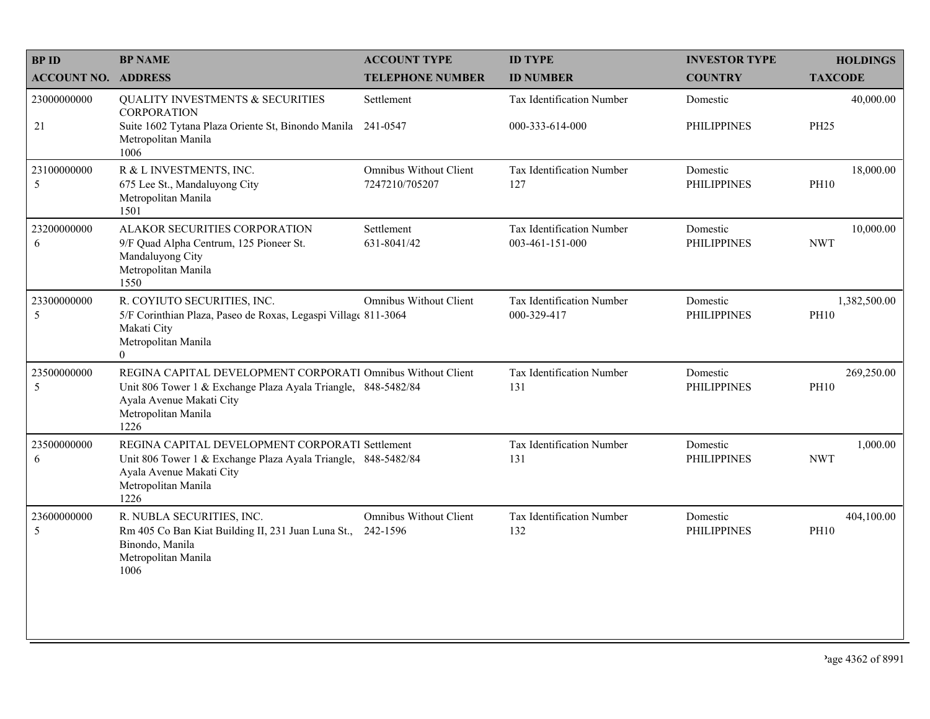| <b>BP ID</b>               | <b>BP NAME</b>                                                                                                                                                                          | <b>ACCOUNT TYPE</b>                             | <b>ID TYPE</b>                                      | <b>INVESTOR TYPE</b>           | <b>HOLDINGS</b>             |
|----------------------------|-----------------------------------------------------------------------------------------------------------------------------------------------------------------------------------------|-------------------------------------------------|-----------------------------------------------------|--------------------------------|-----------------------------|
| <b>ACCOUNT NO. ADDRESS</b> |                                                                                                                                                                                         | <b>TELEPHONE NUMBER</b>                         | <b>ID NUMBER</b>                                    | <b>COUNTRY</b>                 | <b>TAXCODE</b>              |
| 23000000000<br>21          | <b>QUALITY INVESTMENTS &amp; SECURITIES</b><br><b>CORPORATION</b><br>Suite 1602 Tytana Plaza Oriente St, Binondo Manila 241-0547<br>Metropolitan Manila<br>1006                         | Settlement                                      | <b>Tax Identification Number</b><br>000-333-614-000 | Domestic<br><b>PHILIPPINES</b> | 40,000.00<br><b>PH25</b>    |
| 23100000000<br>5           | R & L INVESTMENTS, INC.<br>675 Lee St., Mandaluyong City<br>Metropolitan Manila<br>1501                                                                                                 | <b>Omnibus Without Client</b><br>7247210/705207 | Tax Identification Number<br>127                    | Domestic<br><b>PHILIPPINES</b> | 18,000.00<br><b>PH10</b>    |
| 23200000000<br>6           | ALAKOR SECURITIES CORPORATION<br>9/F Quad Alpha Centrum, 125 Pioneer St.<br>Mandaluyong City<br>Metropolitan Manila<br>1550                                                             | Settlement<br>631-8041/42                       | Tax Identification Number<br>003-461-151-000        | Domestic<br><b>PHILIPPINES</b> | 10,000.00<br><b>NWT</b>     |
| 23300000000<br>5           | R. COYIUTO SECURITIES, INC.<br>5/F Corinthian Plaza, Paseo de Roxas, Legaspi Village 811-3064<br>Makati City<br>Metropolitan Manila<br>$\Omega$                                         | <b>Omnibus Without Client</b>                   | Tax Identification Number<br>000-329-417            | Domestic<br><b>PHILIPPINES</b> | 1,382,500.00<br><b>PH10</b> |
| 23500000000<br>5           | REGINA CAPITAL DEVELOPMENT CORPORATI Omnibus Without Client<br>Unit 806 Tower 1 & Exchange Plaza Ayala Triangle, 848-5482/84<br>Ayala Avenue Makati City<br>Metropolitan Manila<br>1226 |                                                 | Tax Identification Number<br>131                    | Domestic<br><b>PHILIPPINES</b> | 269,250.00<br><b>PH10</b>   |
| 23500000000<br>6           | REGINA CAPITAL DEVELOPMENT CORPORATI Settlement<br>Unit 806 Tower 1 & Exchange Plaza Ayala Triangle, 848-5482/84<br>Ayala Avenue Makati City<br>Metropolitan Manila<br>1226             |                                                 | Tax Identification Number<br>131                    | Domestic<br><b>PHILIPPINES</b> | 1,000.00<br><b>NWT</b>      |
| 23600000000<br>5           | R. NUBLA SECURITIES, INC.<br>Rm 405 Co Ban Kiat Building II, 231 Juan Luna St.,<br>Binondo, Manila<br>Metropolitan Manila<br>1006                                                       | <b>Omnibus Without Client</b><br>242-1596       | Tax Identification Number<br>132                    | Domestic<br><b>PHILIPPINES</b> | 404,100.00<br><b>PH10</b>   |
|                            |                                                                                                                                                                                         |                                                 |                                                     |                                |                             |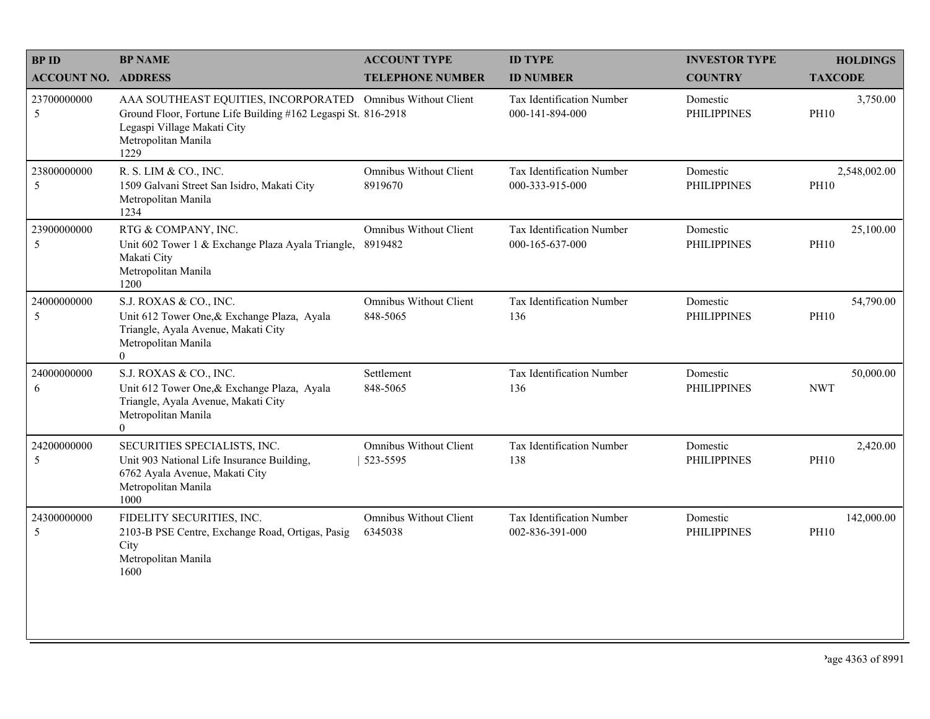| <b>BPID</b>                | <b>BP NAME</b>                                                                                                                                                                             | <b>ACCOUNT TYPE</b>                       | <b>ID TYPE</b>                               | <b>INVESTOR TYPE</b>           | <b>HOLDINGS</b>             |
|----------------------------|--------------------------------------------------------------------------------------------------------------------------------------------------------------------------------------------|-------------------------------------------|----------------------------------------------|--------------------------------|-----------------------------|
| <b>ACCOUNT NO. ADDRESS</b> |                                                                                                                                                                                            | <b>TELEPHONE NUMBER</b>                   | <b>ID NUMBER</b>                             | <b>COUNTRY</b>                 | <b>TAXCODE</b>              |
| 23700000000<br>5           | AAA SOUTHEAST EQUITIES, INCORPORATED Omnibus Without Client<br>Ground Floor, Fortune Life Building #162 Legaspi St. 816-2918<br>Legaspi Village Makati City<br>Metropolitan Manila<br>1229 |                                           | Tax Identification Number<br>000-141-894-000 | Domestic<br><b>PHILIPPINES</b> | 3,750.00<br><b>PH10</b>     |
| 23800000000<br>5           | R. S. LIM & CO., INC.<br>1509 Galvani Street San Isidro, Makati City<br>Metropolitan Manila<br>1234                                                                                        | Omnibus Without Client<br>8919670         | Tax Identification Number<br>000-333-915-000 | Domestic<br><b>PHILIPPINES</b> | 2,548,002.00<br><b>PH10</b> |
| 23900000000<br>5           | RTG & COMPANY, INC.<br>Unit 602 Tower 1 & Exchange Plaza Ayala Triangle,<br>Makati City<br>Metropolitan Manila<br>1200                                                                     | <b>Omnibus Without Client</b><br>8919482  | Tax Identification Number<br>000-165-637-000 | Domestic<br><b>PHILIPPINES</b> | 25,100.00<br><b>PH10</b>    |
| 24000000000<br>5           | S.J. ROXAS & CO., INC.<br>Unit 612 Tower One, & Exchange Plaza, Ayala<br>Triangle, Ayala Avenue, Makati City<br>Metropolitan Manila<br>$\theta$                                            | <b>Omnibus Without Client</b><br>848-5065 | Tax Identification Number<br>136             | Domestic<br><b>PHILIPPINES</b> | 54,790.00<br><b>PH10</b>    |
| 24000000000<br>6           | S.J. ROXAS & CO., INC.<br>Unit 612 Tower One, & Exchange Plaza, Ayala<br>Triangle, Ayala Avenue, Makati City<br>Metropolitan Manila<br>$\overline{0}$                                      | Settlement<br>848-5065                    | Tax Identification Number<br>136             | Domestic<br><b>PHILIPPINES</b> | 50,000.00<br><b>NWT</b>     |
| 24200000000<br>5           | SECURITIES SPECIALISTS, INC.<br>Unit 903 National Life Insurance Building,<br>6762 Ayala Avenue, Makati City<br>Metropolitan Manila<br>1000                                                | <b>Omnibus Without Client</b><br>523-5595 | Tax Identification Number<br>138             | Domestic<br><b>PHILIPPINES</b> | 2,420.00<br><b>PH10</b>     |
| 24300000000<br>5           | FIDELITY SECURITIES, INC.<br>2103-B PSE Centre, Exchange Road, Ortigas, Pasig<br>City<br>Metropolitan Manila<br>1600                                                                       | <b>Omnibus Without Client</b><br>6345038  | Tax Identification Number<br>002-836-391-000 | Domestic<br><b>PHILIPPINES</b> | 142,000.00<br><b>PH10</b>   |
|                            |                                                                                                                                                                                            |                                           |                                              |                                |                             |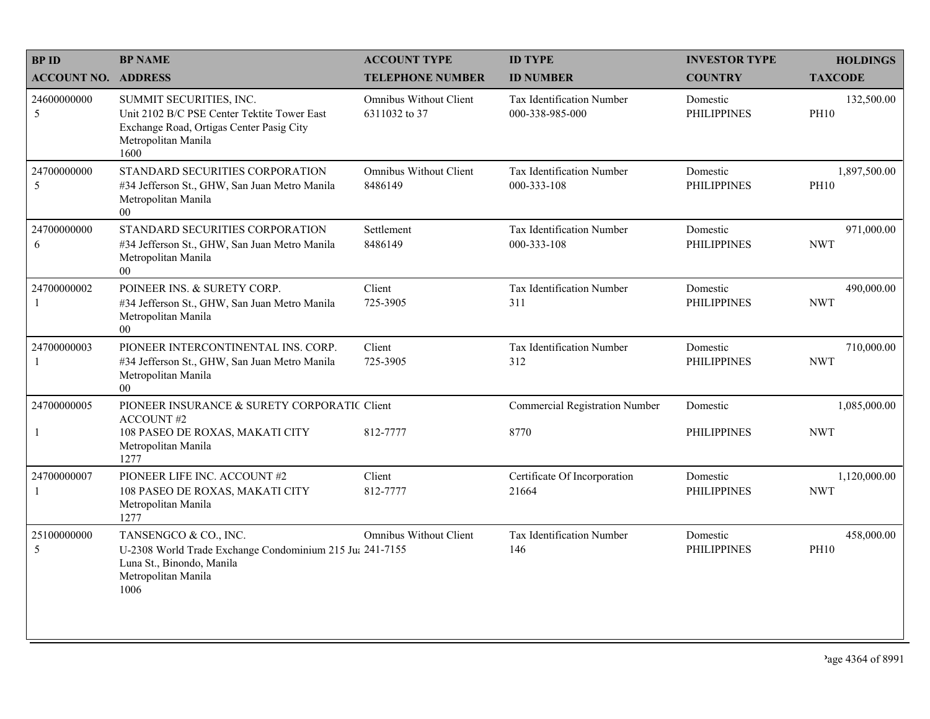| <b>BPID</b>                 | <b>BP NAME</b>                                                                                                                                    | <b>ACCOUNT TYPE</b>                            | <b>ID TYPE</b>                               | <b>INVESTOR TYPE</b>           | <b>HOLDINGS</b>             |
|-----------------------------|---------------------------------------------------------------------------------------------------------------------------------------------------|------------------------------------------------|----------------------------------------------|--------------------------------|-----------------------------|
| <b>ACCOUNT NO. ADDRESS</b>  |                                                                                                                                                   | <b>TELEPHONE NUMBER</b>                        | <b>ID NUMBER</b>                             | <b>COUNTRY</b>                 | <b>TAXCODE</b>              |
| 24600000000<br>5            | SUMMIT SECURITIES, INC.<br>Unit 2102 B/C PSE Center Tektite Tower East<br>Exchange Road, Ortigas Center Pasig City<br>Metropolitan Manila<br>1600 | <b>Omnibus Without Client</b><br>6311032 to 37 | Tax Identification Number<br>000-338-985-000 | Domestic<br><b>PHILIPPINES</b> | 132,500.00<br><b>PH10</b>   |
| 24700000000<br>5            | STANDARD SECURITIES CORPORATION<br>#34 Jefferson St., GHW, San Juan Metro Manila<br>Metropolitan Manila<br>00 <sup>1</sup>                        | Omnibus Without Client<br>8486149              | Tax Identification Number<br>000-333-108     | Domestic<br><b>PHILIPPINES</b> | 1,897,500.00<br><b>PH10</b> |
| 24700000000<br>6            | STANDARD SECURITIES CORPORATION<br>#34 Jefferson St., GHW, San Juan Metro Manila<br>Metropolitan Manila<br>$00\,$                                 | Settlement<br>8486149                          | Tax Identification Number<br>000-333-108     | Domestic<br><b>PHILIPPINES</b> | 971,000.00<br><b>NWT</b>    |
| 24700000002<br>1            | POINEER INS. & SURETY CORP.<br>#34 Jefferson St., GHW, San Juan Metro Manila<br>Metropolitan Manila<br>$00\,$                                     | Client<br>725-3905                             | Tax Identification Number<br>311             | Domestic<br><b>PHILIPPINES</b> | 490,000.00<br><b>NWT</b>    |
| 24700000003<br>$\mathbf{1}$ | PIONEER INTERCONTINENTAL INS. CORP.<br>#34 Jefferson St., GHW, San Juan Metro Manila<br>Metropolitan Manila<br>00                                 | Client<br>725-3905                             | Tax Identification Number<br>312             | Domestic<br><b>PHILIPPINES</b> | 710,000.00<br><b>NWT</b>    |
| 24700000005                 | PIONEER INSURANCE & SURETY CORPORATIC Client<br><b>ACCOUNT#2</b>                                                                                  |                                                | <b>Commercial Registration Number</b>        | Domestic                       | 1,085,000.00                |
| $\mathbf{1}$                | 108 PASEO DE ROXAS, MAKATI CITY<br>Metropolitan Manila<br>1277                                                                                    | 812-7777                                       | 8770                                         | <b>PHILIPPINES</b>             | <b>NWT</b>                  |
| 24700000007<br>1            | PIONEER LIFE INC. ACCOUNT #2<br>108 PASEO DE ROXAS, MAKATI CITY<br>Metropolitan Manila<br>1277                                                    | Client<br>812-7777                             | Certificate Of Incorporation<br>21664        | Domestic<br><b>PHILIPPINES</b> | 1,120,000.00<br><b>NWT</b>  |
| 25100000000<br>5            | TANSENGCO & CO., INC.<br>U-2308 World Trade Exchange Condominium 215 Ju: 241-7155<br>Luna St., Binondo, Manila<br>Metropolitan Manila<br>1006     | <b>Omnibus Without Client</b>                  | Tax Identification Number<br>146             | Domestic<br><b>PHILIPPINES</b> | 458,000.00<br><b>PH10</b>   |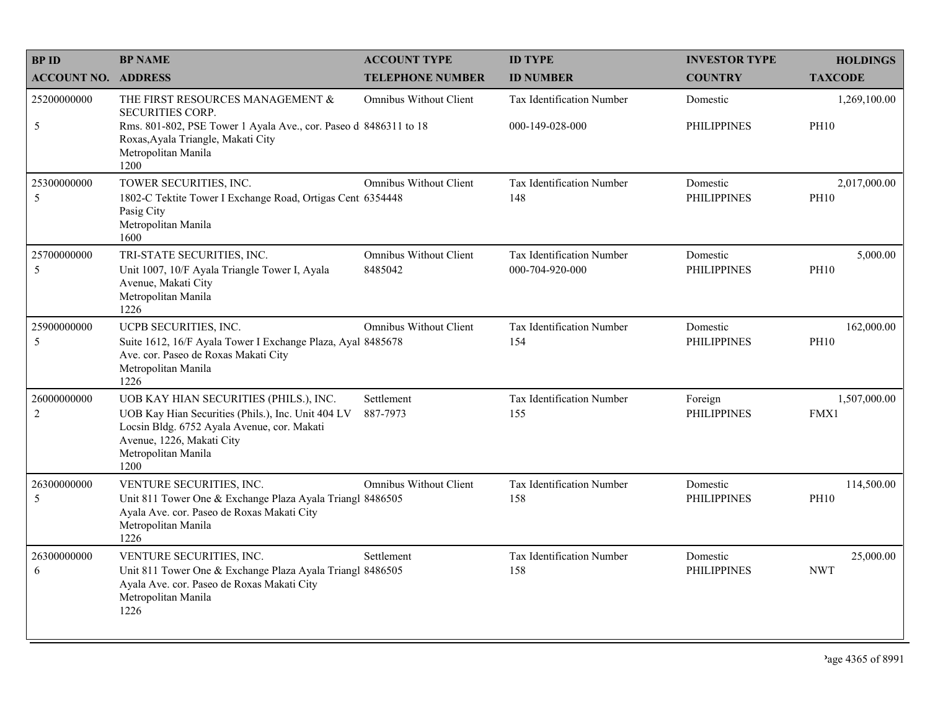| <b>BPID</b>                   | <b>BP NAME</b>                                                                                                                                                                                          | <b>ACCOUNT TYPE</b>                      | <b>ID TYPE</b>                               | <b>INVESTOR TYPE</b>           | <b>HOLDINGS</b>             |
|-------------------------------|---------------------------------------------------------------------------------------------------------------------------------------------------------------------------------------------------------|------------------------------------------|----------------------------------------------|--------------------------------|-----------------------------|
| <b>ACCOUNT NO. ADDRESS</b>    |                                                                                                                                                                                                         | <b>TELEPHONE NUMBER</b>                  | <b>ID NUMBER</b>                             | <b>COUNTRY</b>                 | <b>TAXCODE</b>              |
| 25200000000                   | THE FIRST RESOURCES MANAGEMENT &<br><b>SECURITIES CORP.</b>                                                                                                                                             | Omnibus Without Client                   | Tax Identification Number                    | Domestic                       | 1,269,100.00                |
| 5                             | Rms. 801-802, PSE Tower 1 Ayala Ave., cor. Paseo d 8486311 to 18<br>Roxas, Ayala Triangle, Makati City<br>Metropolitan Manila<br>1200                                                                   |                                          | 000-149-028-000                              | <b>PHILIPPINES</b>             | <b>PH10</b>                 |
| 25300000000<br>5              | TOWER SECURITIES, INC.<br>1802-C Tektite Tower I Exchange Road, Ortigas Cent 6354448<br>Pasig City<br>Metropolitan Manila<br>1600                                                                       | <b>Omnibus Without Client</b>            | Tax Identification Number<br>148             | Domestic<br><b>PHILIPPINES</b> | 2,017,000.00<br><b>PH10</b> |
| 25700000000<br>5              | TRI-STATE SECURITIES, INC.<br>Unit 1007, 10/F Ayala Triangle Tower I, Ayala<br>Avenue, Makati City<br>Metropolitan Manila<br>1226                                                                       | <b>Omnibus Without Client</b><br>8485042 | Tax Identification Number<br>000-704-920-000 | Domestic<br><b>PHILIPPINES</b> | 5,000.00<br><b>PH10</b>     |
| 25900000000<br>5              | UCPB SECURITIES, INC.<br>Suite 1612, 16/F Ayala Tower I Exchange Plaza, Ayal 8485678<br>Ave. cor. Paseo de Roxas Makati City<br>Metropolitan Manila<br>1226                                             | Omnibus Without Client                   | Tax Identification Number<br>154             | Domestic<br><b>PHILIPPINES</b> | 162,000.00<br><b>PH10</b>   |
| 26000000000<br>$\overline{2}$ | UOB KAY HIAN SECURITIES (PHILS.), INC.<br>UOB Kay Hian Securities (Phils.), Inc. Unit 404 LV<br>Locsin Bldg. 6752 Ayala Avenue, cor. Makati<br>Avenue, 1226, Makati City<br>Metropolitan Manila<br>1200 | Settlement<br>887-7973                   | Tax Identification Number<br>155             | Foreign<br><b>PHILIPPINES</b>  | 1,507,000.00<br>FMX1        |
| 26300000000<br>5              | VENTURE SECURITIES, INC.<br>Unit 811 Tower One & Exchange Plaza Ayala Triangl 8486505<br>Ayala Ave. cor. Paseo de Roxas Makati City<br>Metropolitan Manila<br>1226                                      | <b>Omnibus Without Client</b>            | Tax Identification Number<br>158             | Domestic<br><b>PHILIPPINES</b> | 114,500.00<br><b>PH10</b>   |
| 26300000000<br>6              | VENTURE SECURITIES, INC.<br>Unit 811 Tower One & Exchange Plaza Ayala Triangl 8486505<br>Ayala Ave. cor. Paseo de Roxas Makati City<br>Metropolitan Manila<br>1226                                      | Settlement                               | Tax Identification Number<br>158             | Domestic<br><b>PHILIPPINES</b> | 25,000.00<br><b>NWT</b>     |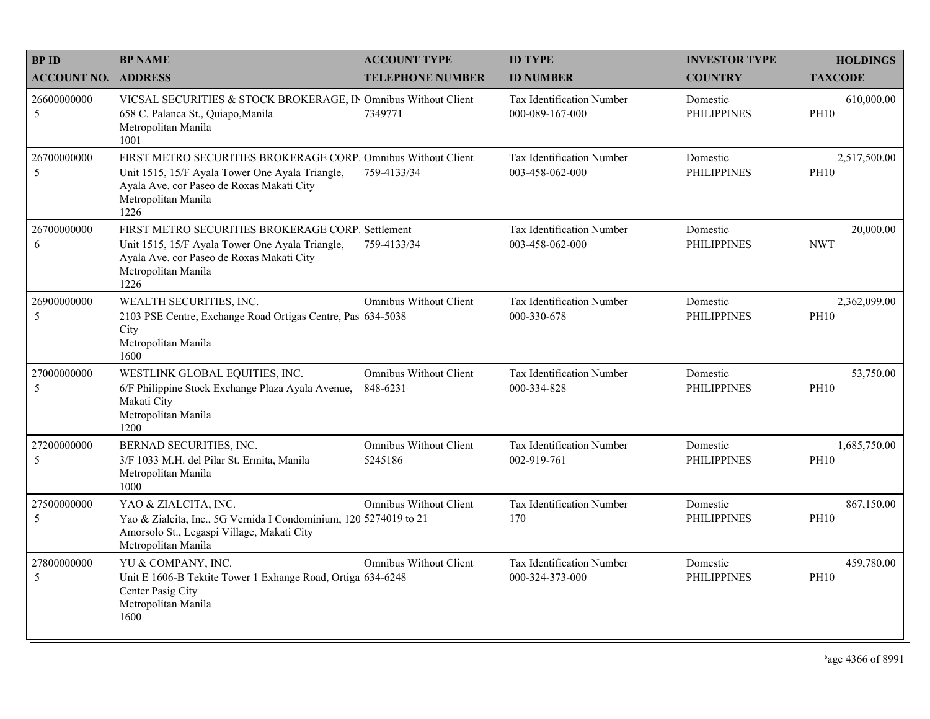| <b>BPID</b>                | <b>BP NAME</b>                                                                                                                                                                               | <b>ACCOUNT TYPE</b>                      | <b>ID TYPE</b>                                      | <b>INVESTOR TYPE</b>           | <b>HOLDINGS</b>             |
|----------------------------|----------------------------------------------------------------------------------------------------------------------------------------------------------------------------------------------|------------------------------------------|-----------------------------------------------------|--------------------------------|-----------------------------|
| <b>ACCOUNT NO. ADDRESS</b> |                                                                                                                                                                                              | <b>TELEPHONE NUMBER</b>                  | <b>ID NUMBER</b>                                    | <b>COUNTRY</b>                 | <b>TAXCODE</b>              |
| 26600000000<br>5           | VICSAL SECURITIES & STOCK BROKERAGE, IN Omnibus Without Client<br>658 C. Palanca St., Quiapo, Manila<br>Metropolitan Manila<br>1001                                                          | 7349771                                  | <b>Tax Identification Number</b><br>000-089-167-000 | Domestic<br><b>PHILIPPINES</b> | 610,000.00<br><b>PH10</b>   |
| 26700000000<br>5           | FIRST METRO SECURITIES BROKERAGE CORP. Omnibus Without Client<br>Unit 1515, 15/F Ayala Tower One Ayala Triangle,<br>Ayala Ave. cor Paseo de Roxas Makati City<br>Metropolitan Manila<br>1226 | 759-4133/34                              | Tax Identification Number<br>003-458-062-000        | Domestic<br><b>PHILIPPINES</b> | 2,517,500.00<br><b>PH10</b> |
| 26700000000<br>6           | FIRST METRO SECURITIES BROKERAGE CORP. Settlement<br>Unit 1515, 15/F Ayala Tower One Ayala Triangle,<br>Ayala Ave. cor Paseo de Roxas Makati City<br>Metropolitan Manila<br>1226             | 759-4133/34                              | Tax Identification Number<br>003-458-062-000        | Domestic<br><b>PHILIPPINES</b> | 20,000.00<br><b>NWT</b>     |
| 26900000000<br>5           | WEALTH SECURITIES, INC.<br>2103 PSE Centre, Exchange Road Ortigas Centre, Pas 634-5038<br>City<br>Metropolitan Manila<br>1600                                                                | Omnibus Without Client                   | Tax Identification Number<br>000-330-678            | Domestic<br><b>PHILIPPINES</b> | 2,362,099.00<br><b>PH10</b> |
| 27000000000<br>5           | WESTLINK GLOBAL EQUITIES, INC.<br>6/F Philippine Stock Exchange Plaza Ayala Avenue,<br>Makati City<br>Metropolitan Manila<br>1200                                                            | Omnibus Without Client<br>848-6231       | Tax Identification Number<br>000-334-828            | Domestic<br><b>PHILIPPINES</b> | 53,750.00<br><b>PH10</b>    |
| 27200000000<br>5           | BERNAD SECURITIES, INC.<br>3/F 1033 M.H. del Pilar St. Ermita, Manila<br>Metropolitan Manila<br>1000                                                                                         | <b>Omnibus Without Client</b><br>5245186 | Tax Identification Number<br>002-919-761            | Domestic<br><b>PHILIPPINES</b> | 1,685,750.00<br><b>PH10</b> |
| 27500000000<br>5           | YAO & ZIALCITA, INC.<br>Yao & Zialcita, Inc., 5G Vernida I Condominium, 120 5274019 to 21<br>Amorsolo St., Legaspi Village, Makati City<br>Metropolitan Manila                               | <b>Omnibus Without Client</b>            | Tax Identification Number<br>170                    | Domestic<br><b>PHILIPPINES</b> | 867,150.00<br><b>PH10</b>   |
| 27800000000<br>5           | YU & COMPANY, INC.<br>Unit E 1606-B Tektite Tower 1 Exhange Road, Ortiga 634-6248<br>Center Pasig City<br>Metropolitan Manila<br>1600                                                        | Omnibus Without Client                   | Tax Identification Number<br>000-324-373-000        | Domestic<br><b>PHILIPPINES</b> | 459,780.00<br><b>PH10</b>   |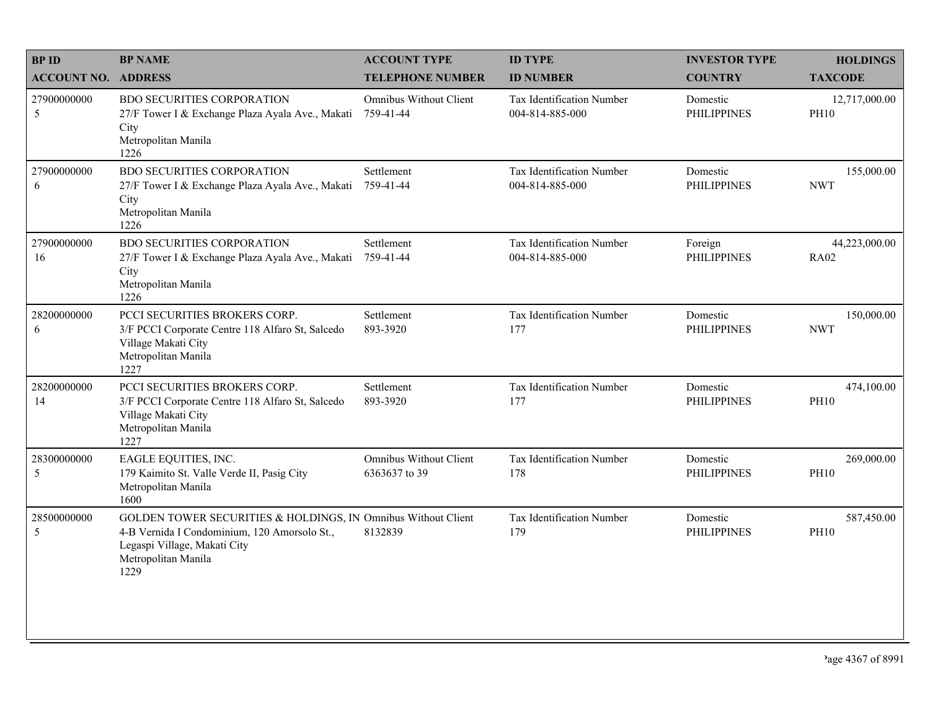| <b>BPID</b>                    | <b>BP NAME</b>                                                                                                                                                               | <b>ACCOUNT TYPE</b>                            | <b>ID TYPE</b>                               | <b>INVESTOR TYPE</b>           | <b>HOLDINGS</b>              |
|--------------------------------|------------------------------------------------------------------------------------------------------------------------------------------------------------------------------|------------------------------------------------|----------------------------------------------|--------------------------------|------------------------------|
| <b>ACCOUNT NO. ADDRESS</b>     |                                                                                                                                                                              | <b>TELEPHONE NUMBER</b>                        | <b>ID NUMBER</b>                             | <b>COUNTRY</b>                 | <b>TAXCODE</b>               |
| 27900000000<br>5               | <b>BDO SECURITIES CORPORATION</b><br>27/F Tower I & Exchange Plaza Ayala Ave., Makati<br>City<br>Metropolitan Manila<br>1226                                                 | Omnibus Without Client<br>759-41-44            | Tax Identification Number<br>004-814-885-000 | Domestic<br><b>PHILIPPINES</b> | 12,717,000.00<br><b>PH10</b> |
| 27900000000<br>6               | <b>BDO SECURITIES CORPORATION</b><br>27/F Tower I & Exchange Plaza Ayala Ave., Makati<br>City<br>Metropolitan Manila<br>1226                                                 | Settlement<br>759-41-44                        | Tax Identification Number<br>004-814-885-000 | Domestic<br><b>PHILIPPINES</b> | 155,000.00<br><b>NWT</b>     |
| 27900000000<br>16              | <b>BDO SECURITIES CORPORATION</b><br>27/F Tower I & Exchange Plaza Ayala Ave., Makati<br>City<br>Metropolitan Manila<br>1226                                                 | Settlement<br>759-41-44                        | Tax Identification Number<br>004-814-885-000 | Foreign<br><b>PHILIPPINES</b>  | 44,223,000.00<br><b>RA02</b> |
| 28200000000<br>6               | PCCI SECURITIES BROKERS CORP.<br>3/F PCCI Corporate Centre 118 Alfaro St, Salcedo<br>Village Makati City<br>Metropolitan Manila<br>1227                                      | Settlement<br>893-3920                         | Tax Identification Number<br>177             | Domestic<br><b>PHILIPPINES</b> | 150,000.00<br><b>NWT</b>     |
| 28200000000<br>14              | PCCI SECURITIES BROKERS CORP.<br>3/F PCCI Corporate Centre 118 Alfaro St, Salcedo<br>Village Makati City<br>Metropolitan Manila<br>1227                                      | Settlement<br>893-3920                         | Tax Identification Number<br>177             | Domestic<br><b>PHILIPPINES</b> | 474,100.00<br><b>PH10</b>    |
| 28300000000<br>5               | EAGLE EQUITIES, INC.<br>179 Kaimito St. Valle Verde II, Pasig City<br>Metropolitan Manila<br>1600                                                                            | <b>Omnibus Without Client</b><br>6363637 to 39 | Tax Identification Number<br>178             | Domestic<br><b>PHILIPPINES</b> | 269,000.00<br><b>PH10</b>    |
| 28500000000<br>$5\overline{)}$ | GOLDEN TOWER SECURITIES & HOLDINGS, IN Omnibus Without Client<br>4-B Vernida I Condominium, 120 Amorsolo St.,<br>Legaspi Village, Makati City<br>Metropolitan Manila<br>1229 | 8132839                                        | Tax Identification Number<br>179             | Domestic<br><b>PHILIPPINES</b> | 587,450.00<br><b>PH10</b>    |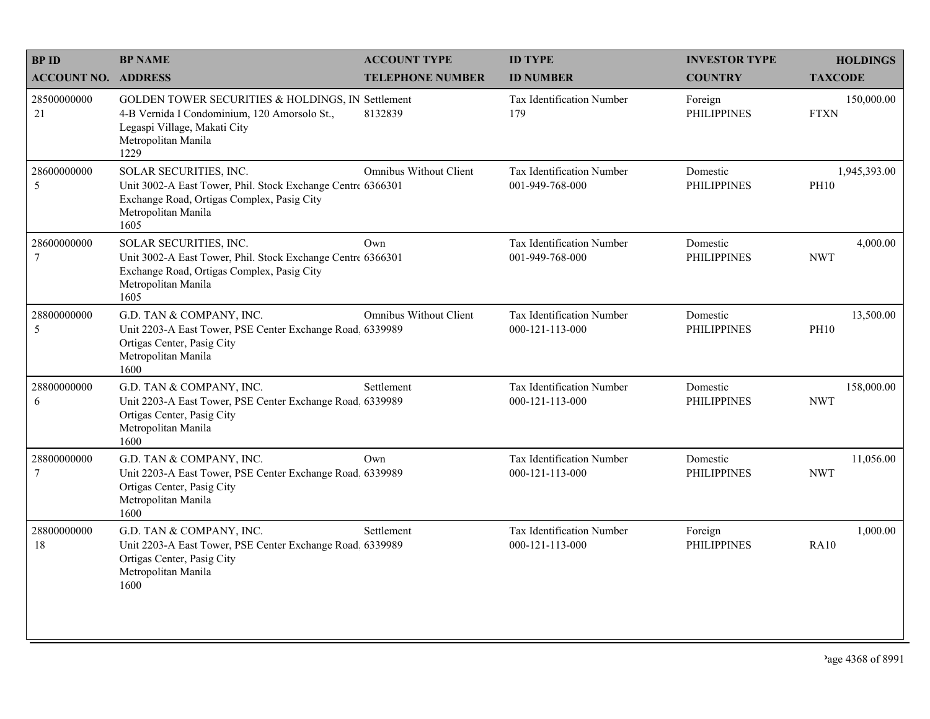| <b>BPID</b>                   | <b>BP NAME</b>                                                                                                                                                     | <b>ACCOUNT TYPE</b>           | <b>ID TYPE</b>                                       | <b>INVESTOR TYPE</b>           | <b>HOLDINGS</b>             |
|-------------------------------|--------------------------------------------------------------------------------------------------------------------------------------------------------------------|-------------------------------|------------------------------------------------------|--------------------------------|-----------------------------|
| <b>ACCOUNT NO. ADDRESS</b>    |                                                                                                                                                                    | <b>TELEPHONE NUMBER</b>       | <b>ID NUMBER</b>                                     | <b>COUNTRY</b>                 | <b>TAXCODE</b>              |
| 28500000000<br>21             | GOLDEN TOWER SECURITIES & HOLDINGS, IN Settlement<br>4-B Vernida I Condominium, 120 Amorsolo St.,<br>Legaspi Village, Makati City<br>Metropolitan Manila<br>1229   | 8132839                       | Tax Identification Number<br>179                     | Foreign<br><b>PHILIPPINES</b>  | 150,000.00<br><b>FTXN</b>   |
| 28600000000<br>5              | SOLAR SECURITIES, INC.<br>Unit 3002-A East Tower, Phil. Stock Exchange Centre 6366301<br>Exchange Road, Ortigas Complex, Pasig City<br>Metropolitan Manila<br>1605 | <b>Omnibus Without Client</b> | Tax Identification Number<br>001-949-768-000         | Domestic<br><b>PHILIPPINES</b> | 1,945,393.00<br><b>PH10</b> |
| 28600000000<br>$\overline{7}$ | SOLAR SECURITIES, INC.<br>Unit 3002-A East Tower, Phil. Stock Exchange Centre 6366301<br>Exchange Road, Ortigas Complex, Pasig City<br>Metropolitan Manila<br>1605 | Own                           | Tax Identification Number<br>001-949-768-000         | Domestic<br><b>PHILIPPINES</b> | 4,000.00<br><b>NWT</b>      |
| 28800000000<br>5              | G.D. TAN & COMPANY, INC.<br>Unit 2203-A East Tower, PSE Center Exchange Road. 6339989<br>Ortigas Center, Pasig City<br>Metropolitan Manila<br>1600                 | Omnibus Without Client        | Tax Identification Number<br>$000 - 121 - 113 - 000$ | Domestic<br><b>PHILIPPINES</b> | 13,500.00<br><b>PH10</b>    |
| 28800000000<br>6              | G.D. TAN & COMPANY, INC.<br>Unit 2203-A East Tower, PSE Center Exchange Road, 6339989<br>Ortigas Center, Pasig City<br>Metropolitan Manila<br>1600                 | Settlement                    | Tax Identification Number<br>000-121-113-000         | Domestic<br><b>PHILIPPINES</b> | 158,000.00<br><b>NWT</b>    |
| 28800000000<br>$\tau$         | G.D. TAN & COMPANY, INC.<br>Unit 2203-A East Tower, PSE Center Exchange Road. 6339989<br>Ortigas Center, Pasig City<br>Metropolitan Manila<br>1600                 | Own                           | Tax Identification Number<br>000-121-113-000         | Domestic<br><b>PHILIPPINES</b> | 11,056.00<br><b>NWT</b>     |
| 28800000000<br>18             | G.D. TAN & COMPANY, INC.<br>Unit 2203-A East Tower, PSE Center Exchange Road, 6339989<br>Ortigas Center, Pasig City<br>Metropolitan Manila<br>1600                 | Settlement                    | Tax Identification Number<br>000-121-113-000         | Foreign<br><b>PHILIPPINES</b>  | 1,000.00<br><b>RA10</b>     |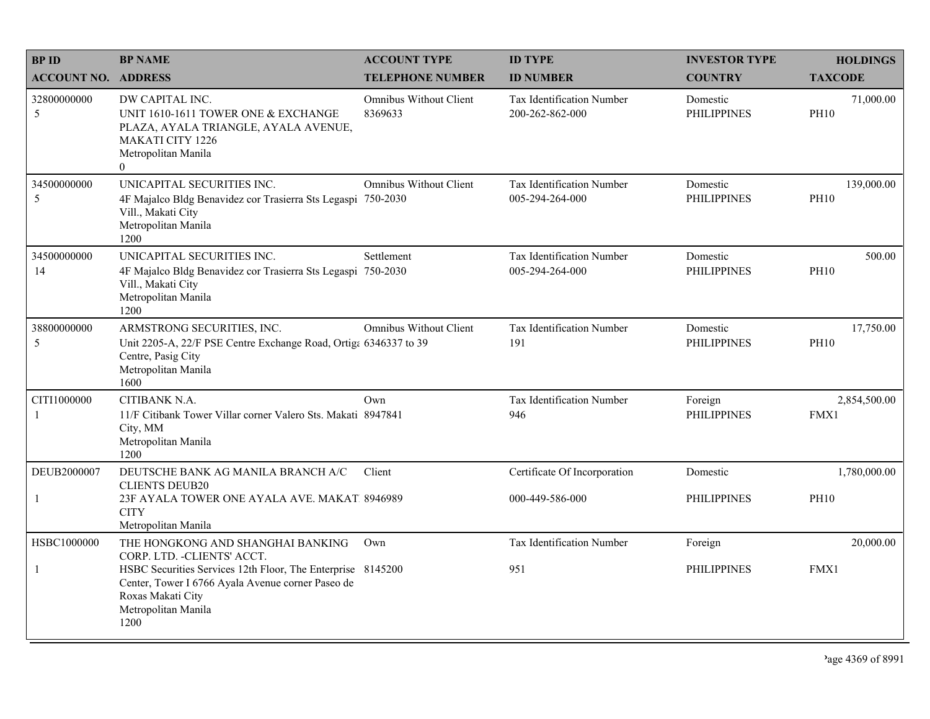| <b>BPID</b>                | <b>BP NAME</b>                                                                                                                                                       | <b>ACCOUNT TYPE</b>               | <b>ID TYPE</b>                                      | <b>INVESTOR TYPE</b>           | <b>HOLDINGS</b>           |
|----------------------------|----------------------------------------------------------------------------------------------------------------------------------------------------------------------|-----------------------------------|-----------------------------------------------------|--------------------------------|---------------------------|
| <b>ACCOUNT NO. ADDRESS</b> |                                                                                                                                                                      | <b>TELEPHONE NUMBER</b>           | <b>ID NUMBER</b>                                    | <b>COUNTRY</b>                 | <b>TAXCODE</b>            |
| 32800000000<br>5           | DW CAPITAL INC.<br>UNIT 1610-1611 TOWER ONE & EXCHANGE<br>PLAZA, AYALA TRIANGLE, AYALA AVENUE,<br><b>MAKATI CITY 1226</b><br>Metropolitan Manila<br>$\Omega$         | Omnibus Without Client<br>8369633 | <b>Tax Identification Number</b><br>200-262-862-000 | Domestic<br><b>PHILIPPINES</b> | 71,000.00<br><b>PH10</b>  |
| 34500000000<br>5           | UNICAPITAL SECURITIES INC.<br>4F Majalco Bldg Benavidez cor Trasierra Sts Legaspi 750-2030<br>Vill., Makati City<br>Metropolitan Manila<br>1200                      | Omnibus Without Client            | Tax Identification Number<br>005-294-264-000        | Domestic<br><b>PHILIPPINES</b> | 139,000.00<br><b>PH10</b> |
| 34500000000<br>14          | UNICAPITAL SECURITIES INC.<br>4F Majalco Bldg Benavidez cor Trasierra Sts Legaspi 750-2030<br>Vill., Makati City<br>Metropolitan Manila<br>1200                      | Settlement                        | <b>Tax Identification Number</b><br>005-294-264-000 | Domestic<br><b>PHILIPPINES</b> | 500.00<br><b>PH10</b>     |
| 38800000000<br>5           | ARMSTRONG SECURITIES, INC.<br>Unit 2205-A, 22/F PSE Centre Exchange Road, Ortiga 6346337 to 39<br>Centre, Pasig City<br>Metropolitan Manila<br>1600                  | <b>Omnibus Without Client</b>     | Tax Identification Number<br>191                    | Domestic<br><b>PHILIPPINES</b> | 17,750.00<br><b>PH10</b>  |
| CITI1000000<br>-1          | CITIBANK N.A.<br>11/F Citibank Tower Villar corner Valero Sts. Makati 8947841<br>City, MM<br>Metropolitan Manila<br>1200                                             | Own                               | Tax Identification Number<br>946                    | Foreign<br><b>PHILIPPINES</b>  | 2,854,500.00<br>FMX1      |
| DEUB2000007                | DEUTSCHE BANK AG MANILA BRANCH A/C                                                                                                                                   | Client                            | Certificate Of Incorporation                        | Domestic                       | 1,780,000.00              |
| -1                         | <b>CLIENTS DEUB20</b><br>23F AYALA TOWER ONE AYALA AVE. MAKAT. 8946989<br><b>CITY</b><br>Metropolitan Manila                                                         |                                   | 000-449-586-000                                     | PHILIPPINES                    | <b>PH10</b>               |
| HSBC1000000                | THE HONGKONG AND SHANGHAI BANKING<br>CORP. LTD. - CLIENTS' ACCT.                                                                                                     | Own                               | <b>Tax Identification Number</b>                    | Foreign                        | 20,000.00                 |
| -1                         | HSBC Securities Services 12th Floor, The Enterprise 8145200<br>Center, Tower I 6766 Ayala Avenue corner Paseo de<br>Roxas Makati City<br>Metropolitan Manila<br>1200 |                                   | 951                                                 | <b>PHILIPPINES</b>             | FMX1                      |